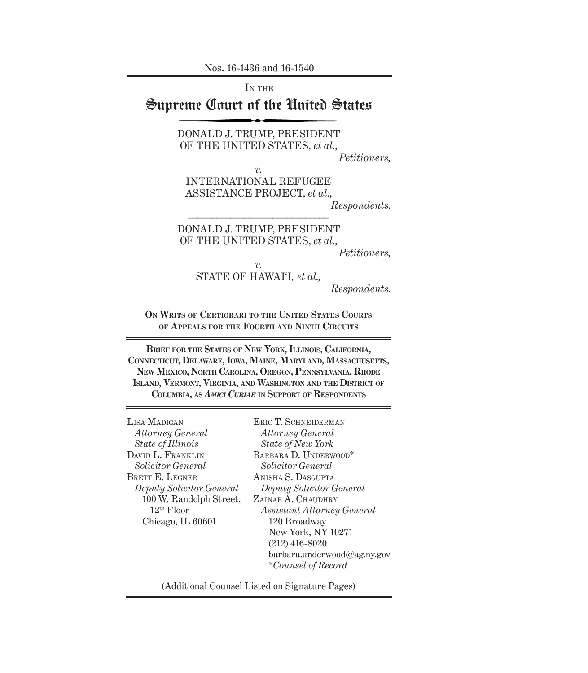Nos. 16-1436 and 16-1540

IN THE

## Supreme Court of the United States

DONALD J. TRUMP, PRESIDENT OF THE UNITED STATES, *et al.*,

*Petitioners,*

*v.*

INTERNATIONAL REFUGEE ASSISTANCE PROJECT, *et al*.,

––––––––––––––––––––––––––––––

*Respondents.*

DONALD J. TRUMP, PRESIDENT OF THE UNITED STATES, *et al*.,

*Petitioners,*

*v.* STATE OF HAWAI'I*, et al.,* 

*Respondents.*

**On Writs of Certiorari to the United States Courts of Appeals for the Fourth and Ninth Circuits**

**Brief for the States of New York, Illinois, California, Connecticut, Delaware, Iowa, Maine, Maryland, Massachusetts, New Mexico, North Carolina, Oregon, Pennsylvania, Rhode Island, Vermont, Virginia, and Washington and the District of Columbia, as** *Amici Curiae* **in Support of Respondents**

Lisa Madigan *Attorney General State of Illinois* DAVID L. FRANKLIN *Solicitor General* BRETT E. LEGNER *Deputy Solicitor General* 100 W. Randolph Street, 12th Floor Chicago, IL 60601

ERIC T. SCHNEIDERMAN *Attorney General State of New York* BARBARA D. UNDERWOOD\* *Solicitor General* Anisha S. Dasgupta *Deputy Solicitor General* ZAINAB A. CHAUDHRY *Assistant Attorney General* 120 Broadway New York, NY 10271 (212) 416-8020 barbara.underwood@ag.ny.gov \**Counsel of Record*

(Additional Counsel Listed on Signature Pages)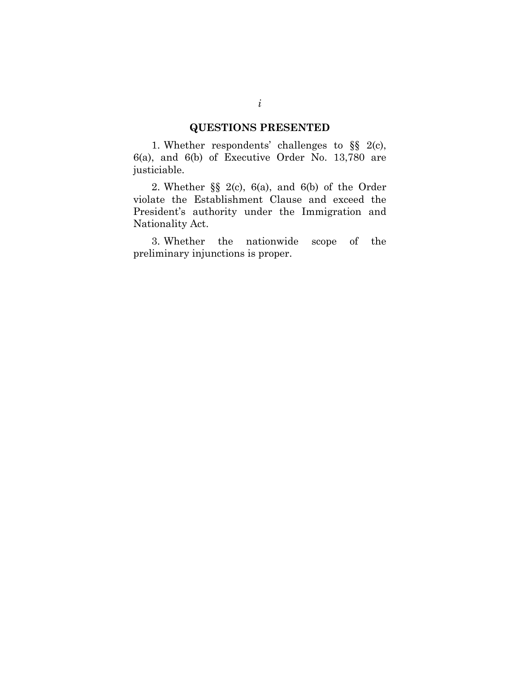#### **QUESTIONS PRESENTED**

1. Whether respondents' challenges to §§ 2(c), 6(a), and 6(b) of Executive Order No. 13,780 are justiciable.

2. Whether §§ 2(c), 6(a), and 6(b) of the Order violate the Establishment Clause and exceed the President's authority under the Immigration and Nationality Act.

3. Whether the nationwide scope of the preliminary injunctions is proper.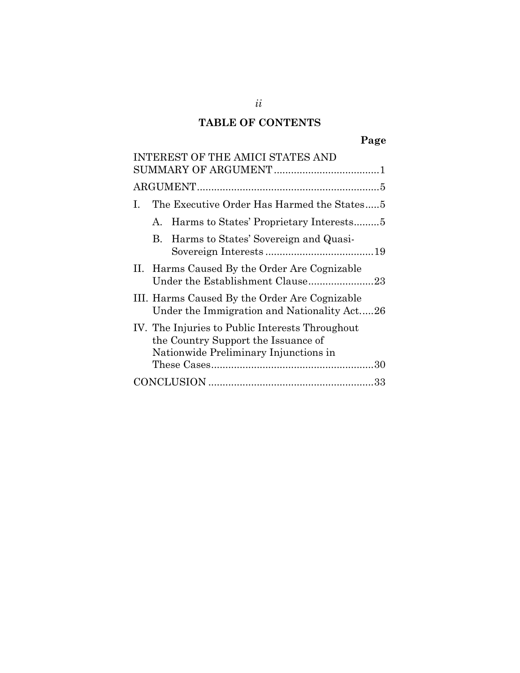### **TABLE OF CONTENTS**

|    | <b>INTEREST OF THE AMICI STATES AND</b>                                                                                         |
|----|---------------------------------------------------------------------------------------------------------------------------------|
|    |                                                                                                                                 |
|    |                                                                                                                                 |
| L. | The Executive Order Has Harmed the States5                                                                                      |
|    | A. Harms to States' Proprietary Interests5                                                                                      |
|    | B. Harms to States' Sovereign and Quasi-                                                                                        |
|    | II. Harms Caused By the Order Are Cognizable                                                                                    |
|    | III. Harms Caused By the Order Are Cognizable<br>Under the Immigration and Nationality Act26                                    |
|    | IV. The Injuries to Public Interests Throughout<br>the Country Support the Issuance of<br>Nationwide Preliminary Injunctions in |
|    |                                                                                                                                 |
|    |                                                                                                                                 |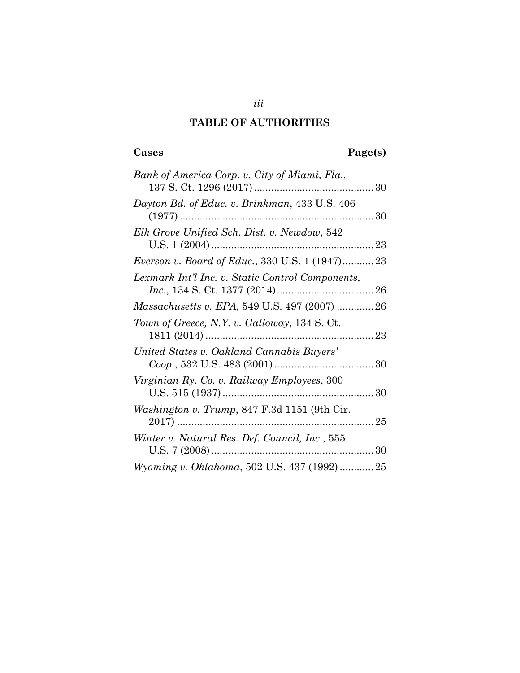### **TABLE OF AUTHORITIES**

### **Cases Page(s)**

| Bank of America Corp. v. City of Miami, Fla.,                 |  |
|---------------------------------------------------------------|--|
| Dayton Bd. of Educ. v. Brinkman, 433 U.S. 406                 |  |
| Elk Grove Unified Sch. Dist. v. Newdow, 542<br>U.S. $1(2004)$ |  |
| <i>Everson v. Board of Educ.</i> , 330 U.S. 1 (1947)23        |  |
| Lexmark Int'l Inc. v. Static Control Components,              |  |
| Massachusetts v. EPA, 549 U.S. 497 (2007)  26                 |  |
| Town of Greece, N.Y. v. Galloway, 134 S. Ct.<br>23            |  |
| United States v. Oakland Cannabis Buyers'                     |  |
| Virginian Ry. Co. v. Railway Employees, 300                   |  |
| <i>Washington v. Trump, 847 F.3d 1151 (9th Cir.</i>           |  |
| Winter v. Natural Res. Def. Council, Inc., 555                |  |
| Wyoming v. Oklahoma, 502 U.S. 437 (1992)  25                  |  |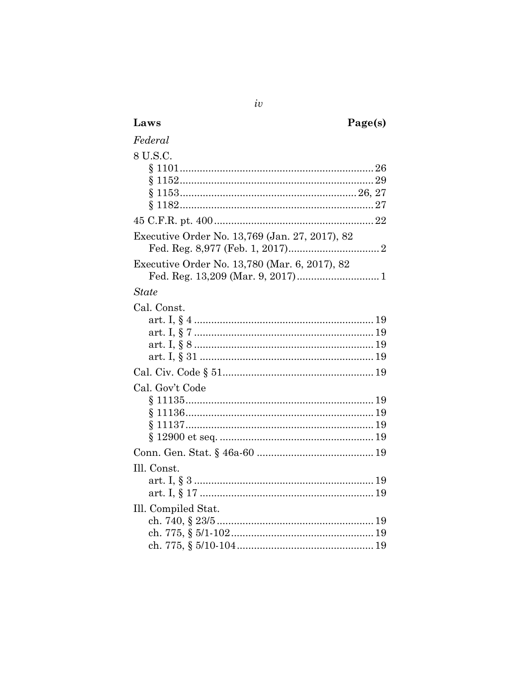| Laws                                           | Page(s) |
|------------------------------------------------|---------|
| Federal                                        |         |
| 8 U.S.C.                                       |         |
|                                                |         |
|                                                |         |
|                                                |         |
|                                                |         |
| Executive Order No. 13,769 (Jan. 27, 2017), 82 |         |
| Executive Order No. 13,780 (Mar. 6, 2017), 82  |         |
|                                                |         |
| <b>State</b>                                   |         |
| Cal. Const.                                    |         |
|                                                |         |
|                                                |         |
|                                                |         |
|                                                |         |
|                                                |         |
| Cal. Gov't Code                                |         |
|                                                |         |
|                                                |         |
|                                                |         |
|                                                |         |
| Ill. Const.                                    |         |
|                                                |         |
|                                                |         |
| Ill. Compiled Stat.                            |         |
|                                                |         |
|                                                |         |
|                                                |         |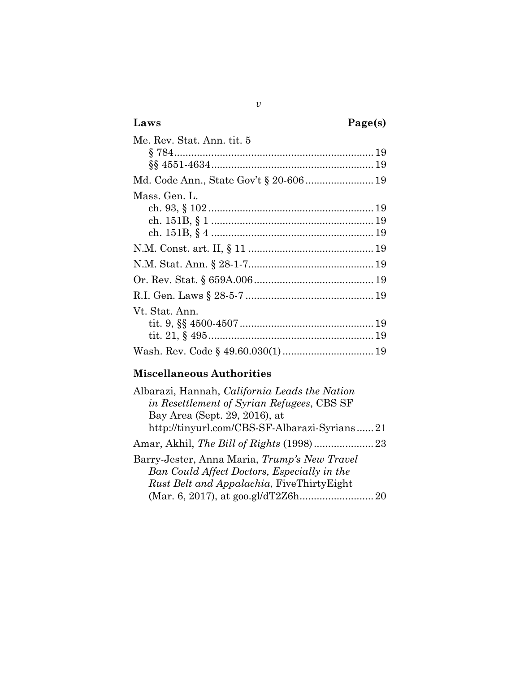| Laws                       | Page(s) |
|----------------------------|---------|
| Me. Rev. Stat. Ann. tit. 5 |         |
|                            |         |
|                            |         |
|                            |         |
| Mass. Gen. L.              |         |
|                            |         |
|                            |         |
|                            |         |
|                            |         |
|                            |         |
|                            |         |
|                            |         |
| Vt. Stat. Ann.             |         |
|                            |         |
|                            |         |
|                            |         |

### **Miscellaneous Authorities**

| Albarazi, Hannah, California Leads the Nation     |  |
|---------------------------------------------------|--|
| in Resettlement of Syrian Refugees, CBS SF        |  |
| Bay Area (Sept. 29, 2016), at                     |  |
| http://tinyurl.com/CBS-SF-Albarazi-Syrians21      |  |
|                                                   |  |
| Barry-Jester, Anna Maria, Trump's New Travel      |  |
| Ban Could Affect Doctors, Especially in the       |  |
| <i>Rust Belt and Appalachia</i> , FiveThirtyEight |  |
|                                                   |  |
|                                                   |  |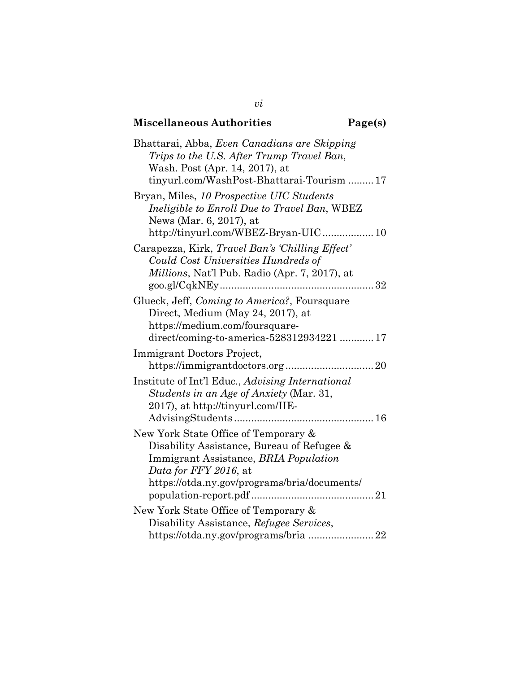# **Miscellaneous Authorities Page(s)**

*vi*

| Bhattarai, Abba, Even Canadians are Skipping<br>Trips to the U.S. After Trump Travel Ban,<br>Wash. Post (Apr. 14, 2017), at<br>tinyurl.com/WashPost-Bhattarai-Tourism  17                            |
|------------------------------------------------------------------------------------------------------------------------------------------------------------------------------------------------------|
| Bryan, Miles, 10 Prospective UIC Students<br>Ineligible to Enroll Due to Travel Ban, WBEZ<br>News (Mar. 6, 2017), at<br>http://tinyurl.com/WBEZ-Bryan-UIC 10                                         |
| Carapezza, Kirk, Travel Ban's 'Chilling Effect'<br>Could Cost Universities Hundreds of<br>Millions, Nat'l Pub. Radio (Apr. 7, 2017), at                                                              |
| Glueck, Jeff, Coming to America?, Foursquare<br>Direct, Medium (May 24, 2017), at<br>https://medium.com/foursquare-<br>direct/coming-to-america-528312934221  17                                     |
| Immigrant Doctors Project,                                                                                                                                                                           |
| Institute of Int'l Educ., Advising International<br>Students in an Age of Anxiety (Mar. 31,<br>2017), at http://tinyurl.com/IIE-                                                                     |
| New York State Office of Temporary &<br>Disability Assistance, Bureau of Refugee &<br>Immigrant Assistance, BRIA Population<br>Data for FFY 2016, at<br>https://otda.ny.gov/programs/bria/documents/ |
| New York State Office of Temporary &                                                                                                                                                                 |
| Disability Assistance, Refugee Services,<br>https://otda.ny.gov/programs/bria22                                                                                                                      |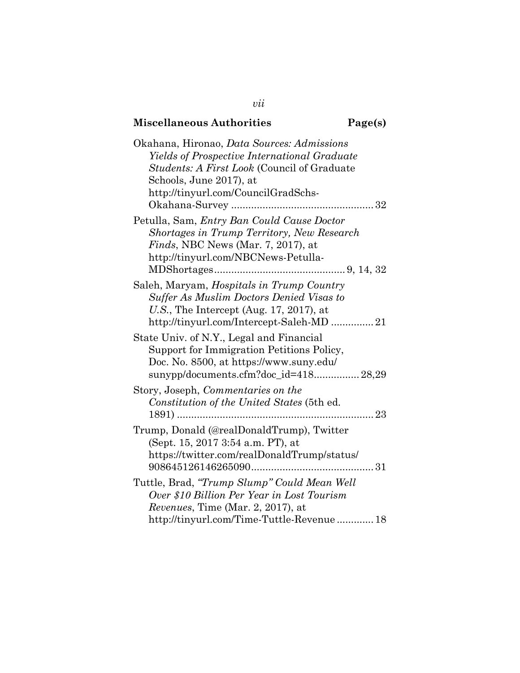## **Miscellaneous Authorities Page(s)**

| Okahana, Hironao, <i>Data Sources: Admissions</i><br>Yields of Prospective International Graduate<br><i>Students: A First Look</i> (Council of Graduate<br>Schools, June 2017), at<br>http://tinyurl.com/CouncilGradSchs- |
|---------------------------------------------------------------------------------------------------------------------------------------------------------------------------------------------------------------------------|
| Petulla, Sam, Entry Ban Could Cause Doctor<br>Shortages in Trump Territory, New Research<br><i>Finds</i> , NBC News (Mar. $7, 2017$ ), at<br>http://tinyurl.com/NBCNews-Petulla-                                          |
| Saleh, Maryam, Hospitals in Trump Country<br><b>Suffer As Muslim Doctors Denied Visas to</b><br>U.S., The Intercept (Aug. 17, 2017), at<br>http://tinyurl.com/Intercept-Saleh-MD 21                                       |
| State Univ. of N.Y., Legal and Financial<br>Support for Immigration Petitions Policy,<br>Doc. No. 8500, at https://www.suny.edu/<br>sunypp/documents.cfm?doc_id=418 28,29                                                 |
| Story, Joseph, Commentaries on the<br>Constitution of the United States (5th ed.                                                                                                                                          |
| Trump, Donald (@realDonaldTrump), Twitter<br>(Sept. 15, 2017 3:54 a.m. PT), at<br>https://twitter.com/realDonaldTrump/status/                                                                                             |
| Tuttle, Brad, "Trump Slump" Could Mean Well<br>Over \$10 Billion Per Year in Lost Tourism<br>Revenues, Time (Mar. 2, 2017), at<br>http://tinyurl.com/Time-Tuttle-Revenue 18                                               |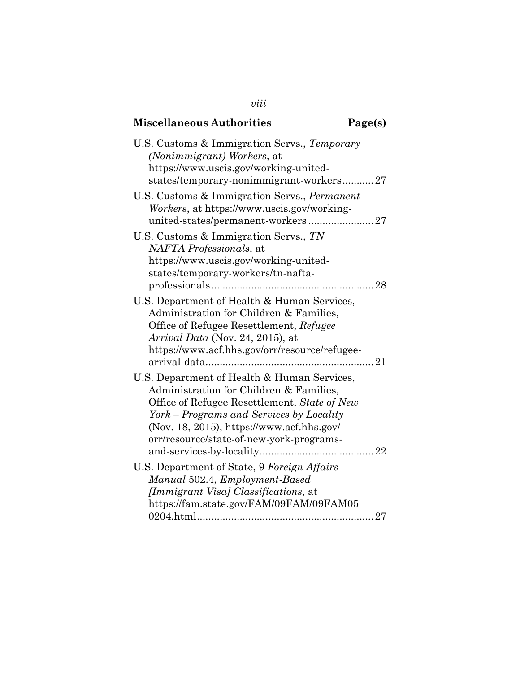| <b>Miscellaneous Authorities</b>                                                                                                                                                                                                                                            | Page(s) |
|-----------------------------------------------------------------------------------------------------------------------------------------------------------------------------------------------------------------------------------------------------------------------------|---------|
| U.S. Customs & Immigration Servs., Temporary<br>(Nonimmigrant) Workers, at<br>https://www.uscis.gov/working-united-<br>states/temporary-nonimmigrant-workers27                                                                                                              |         |
| U.S. Customs & Immigration Servs., Permanent<br>Workers, at https://www.uscis.gov/working-                                                                                                                                                                                  |         |
| U.S. Customs & Immigration Servs., TN<br>NAFTA Professionals, at<br>https://www.uscis.gov/working-united-<br>states/temporary-workers/tn-nafta-                                                                                                                             |         |
| U.S. Department of Health & Human Services,<br>Administration for Children & Families,<br>Office of Refugee Resettlement, Refugee<br>Arrival Data (Nov. 24, 2015), at<br>https://www.acf.hhs.gov/orr/resource/refugee-                                                      |         |
| U.S. Department of Health & Human Services,<br>Administration for Children & Families,<br>Office of Refugee Resettlement, State of New<br>York – Programs and Services by Locality<br>(Nov. 18, 2015), https://www.acf.hhs.gov/<br>orr/resource/state-of-new-york-programs- |         |
| U.S. Department of State, 9 Foreign Affairs<br>Manual 502.4, Employment-Based<br><i>[Immigrant Visa] Classifications, at</i><br>https://fam.state.gov/FAM/09FAM/09FAM05                                                                                                     |         |

*viii*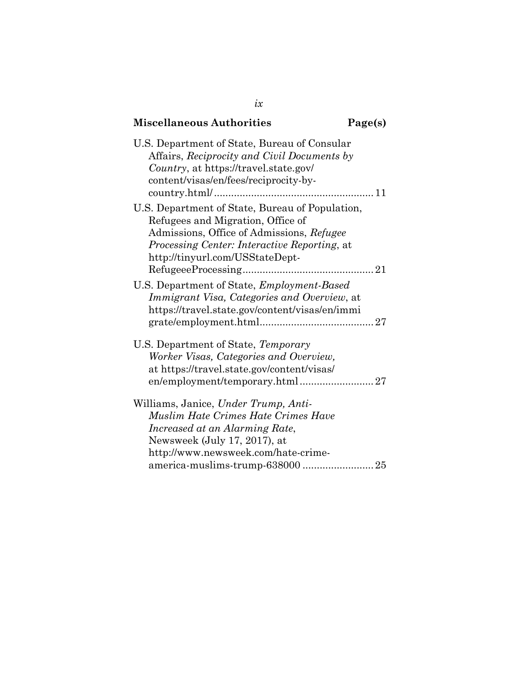| <b>Miscellaneous Authorities</b>                                                                                                                                                                                         | Page(s) |
|--------------------------------------------------------------------------------------------------------------------------------------------------------------------------------------------------------------------------|---------|
| U.S. Department of State, Bureau of Consular<br>Affairs, Reciprocity and Civil Documents by<br>Country, at https://travel.state.gov/<br>content/visas/en/fees/reciprocity-by-                                            |         |
| U.S. Department of State, Bureau of Population,<br>Refugees and Migration, Office of<br>Admissions, Office of Admissions, Refugee<br>Processing Center: Interactive Reporting, at<br>http://tinyurl.com/USStateDept-     |         |
| U.S. Department of State, <i>Employment-Based</i><br>Immigrant Visa, Categories and Overview, at<br>https://travel.state.gov/content/visas/en/immi                                                                       |         |
| U.S. Department of State, Temporary<br>Worker Visas, Categories and Overview,<br>at https://travel.state.gov/content/visas/<br>en/employment/temporary.html27                                                            |         |
| Williams, Janice, Under Trump, Anti-<br>Muslim Hate Crimes Hate Crimes Have<br>Increased at an Alarming Rate,<br>Newsweek (July 17, 2017), at<br>http://www.newsweek.com/hate-crime-<br>america-muslims-trump-638000  25 |         |

*ix*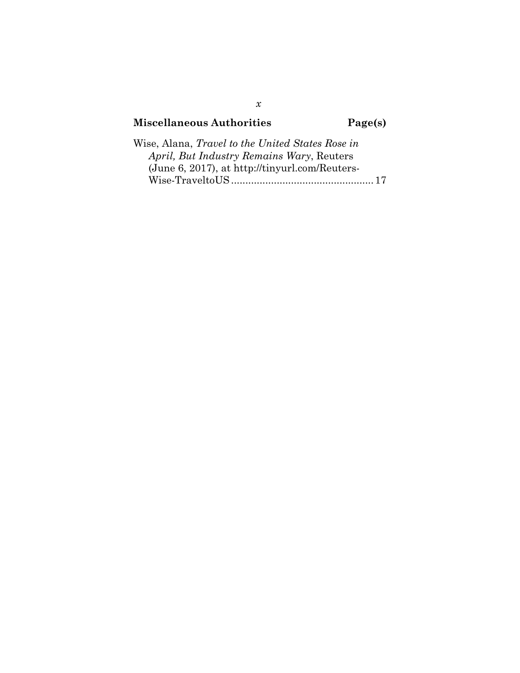### **Miscellaneous Authorities Page(s)**

| Wise, Alana, <i>Travel to the United States Rose in</i> |  |
|---------------------------------------------------------|--|
| April, But Industry Remains Wary, Reuters               |  |
| (June 6, 2017), at http://tinyurl.com/Reuters-          |  |
|                                                         |  |

*x*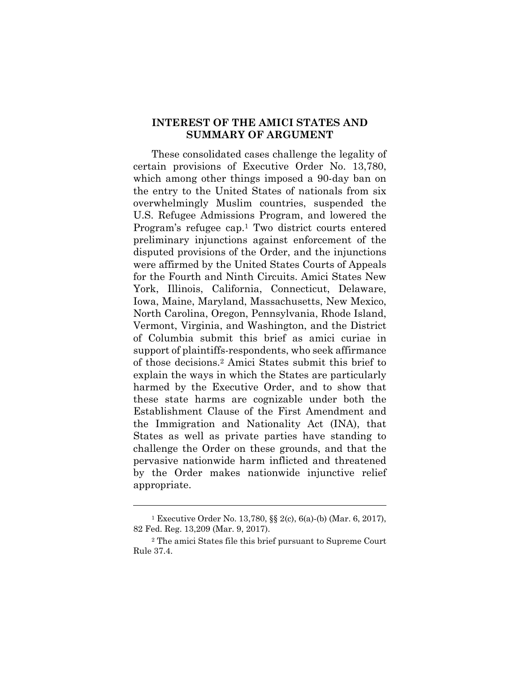#### **INTEREST OF THE AMICI STATES AND SUMMARY OF ARGUMENT**

These consolidated cases challenge the legality of certain provisions of Executive Order No. 13,780, which among other things imposed a 90-day ban on the entry to the United States of nationals from six overwhelmingly Muslim countries, suspended the U.S. Refugee Admissions Program, and lowered the Program's refugee cap.1 Two district courts entered preliminary injunctions against enforcement of the disputed provisions of the Order, and the injunctions were affirmed by the United States Courts of Appeals for the Fourth and Ninth Circuits. Amici States New York, Illinois, California, Connecticut, Delaware, Iowa, Maine, Maryland, Massachusetts, New Mexico, North Carolina, Oregon, Pennsylvania, Rhode Island, Vermont, Virginia, and Washington, and the District of Columbia submit this brief as amici curiae in support of plaintiffs-respondents, who seek affirmance of those decisions.2 Amici States submit this brief to explain the ways in which the States are particularly harmed by the Executive Order, and to show that these state harms are cognizable under both the Establishment Clause of the First Amendment and the Immigration and Nationality Act (INA), that States as well as private parties have standing to challenge the Order on these grounds, and that the pervasive nationwide harm inflicted and threatened by the Order makes nationwide injunctive relief appropriate.

<sup>1</sup> Executive Order No. 13,780, §§ 2(c), 6(a)-(b) (Mar. 6, 2017), 82 Fed. Reg. 13,209 (Mar. 9, 2017).

<sup>2</sup> The amici States file this brief pursuant to Supreme Court Rule 37.4.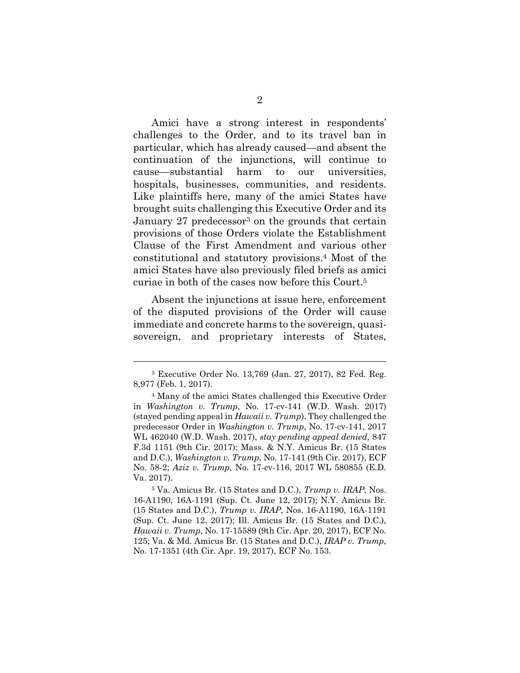Amici have a strong interest in respondents' challenges to the Order, and to its travel ban in particular, which has already caused—and absent the continuation of the injunctions, will continue to cause—substantial harm to our universities, hospitals, businesses, communities, and residents. Like plaintiffs here, many of the amici States have brought suits challenging this Executive Order and its January 27 predecessor<sup>3</sup> on the grounds that certain provisions of those Orders violate the Establishment Clause of the First Amendment and various other constitutional and statutory provisions.4 Most of the amici States have also previously filed briefs as amici curiae in both of the cases now before this Court.5

Absent the injunctions at issue here, enforcement of the disputed provisions of the Order will cause immediate and concrete harms to the sovereign, quasisovereign, and proprietary interests of States,

<sup>3</sup> Executive Order No. 13,769 (Jan. 27, 2017), 82 Fed. Reg. 8,977 (Feb. 1, 2017).

<sup>4</sup> Many of the amici States challenged this Executive Order in *Washington v. Trump*, No. 17-cv-141 (W.D. Wash. 2017) (stayed pending appeal in *Hawaii v. Trump*). They challenged the predecessor Order in *Washington v. Trump*, No. 17-cv-141, 2017 WL 462040 (W.D. Wash. 2017), *stay pending appeal denied*, 847 F.3d 1151 (9th Cir. 2017); Mass. & N.Y. Amicus Br. (15 States and D.C.), *Washington v. Trump*, No. 17-141 (9th Cir. 2017), ECF No. 58-2; *Aziz v. Trump*, No. 17-cv-116, 2017 WL 580855 (E.D. Va. 2017).

<sup>5</sup> Va. Amicus Br. (15 States and D.C.), *Trump v. IRAP*, Nos. 16-A1190, 16A-1191 (Sup. Ct. June 12, 2017); N.Y. Amicus Br. (15 States and D.C.), *Trump v. IRAP*, Nos. 16-A1190, 16A-1191 (Sup. Ct. June 12, 2017); Ill. Amicus Br. (15 States and D.C.), *Hawaii v. Trump*, No. 17-15589 (9th Cir. Apr. 20, 2017), ECF No. 125; Va. & Md. Amicus Br. (15 States and D.C.), *IRAP v. Trump*, No. 17-1351 (4th Cir. Apr. 19, 2017), ECF No. 153.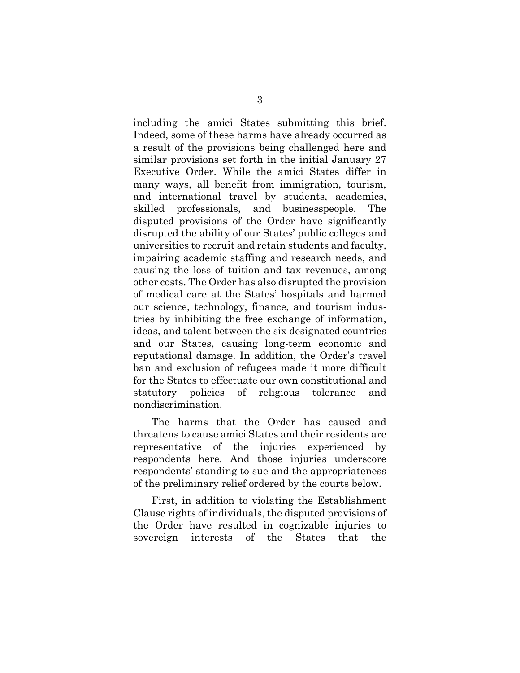including the amici States submitting this brief. Indeed, some of these harms have already occurred as a result of the provisions being challenged here and similar provisions set forth in the initial January 27 Executive Order. While the amici States differ in many ways, all benefit from immigration, tourism, and international travel by students, academics, skilled professionals, and businesspeople. The disputed provisions of the Order have significantly disrupted the ability of our States' public colleges and universities to recruit and retain students and faculty, impairing academic staffing and research needs, and causing the loss of tuition and tax revenues, among other costs. The Order has also disrupted the provision of medical care at the States' hospitals and harmed our science, technology, finance, and tourism industries by inhibiting the free exchange of information, ideas, and talent between the six designated countries and our States, causing long-term economic and reputational damage. In addition, the Order's travel ban and exclusion of refugees made it more difficult for the States to effectuate our own constitutional and statutory policies of religious tolerance and nondiscrimination.

The harms that the Order has caused and threatens to cause amici States and their residents are representative of the injuries experienced by respondents here. And those injuries underscore respondents' standing to sue and the appropriateness of the preliminary relief ordered by the courts below.

First, in addition to violating the Establishment Clause rights of individuals, the disputed provisions of the Order have resulted in cognizable injuries to sovereign interests of the States that the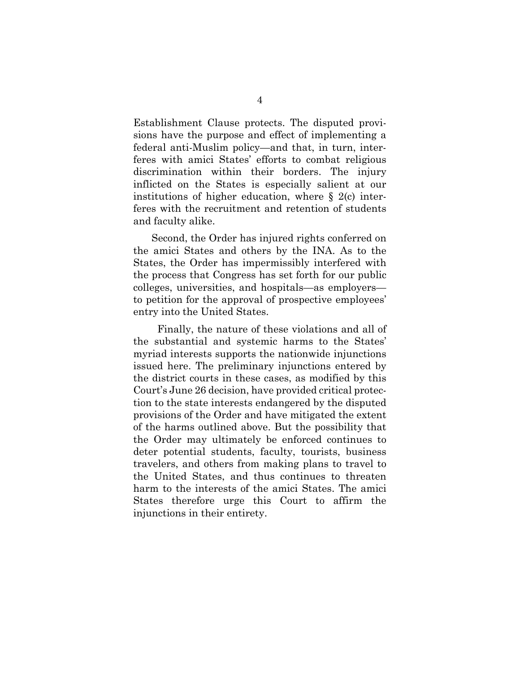Establishment Clause protects. The disputed provisions have the purpose and effect of implementing a federal anti-Muslim policy—and that, in turn, interferes with amici States' efforts to combat religious discrimination within their borders. The injury inflicted on the States is especially salient at our institutions of higher education, where  $\S$  2(c) interferes with the recruitment and retention of students and faculty alike.

Second, the Order has injured rights conferred on the amici States and others by the INA. As to the States, the Order has impermissibly interfered with the process that Congress has set forth for our public colleges, universities, and hospitals—as employers to petition for the approval of prospective employees' entry into the United States.

 Finally, the nature of these violations and all of the substantial and systemic harms to the States' myriad interests supports the nationwide injunctions issued here. The preliminary injunctions entered by the district courts in these cases, as modified by this Court's June 26 decision, have provided critical protection to the state interests endangered by the disputed provisions of the Order and have mitigated the extent of the harms outlined above. But the possibility that the Order may ultimately be enforced continues to deter potential students, faculty, tourists, business travelers, and others from making plans to travel to the United States, and thus continues to threaten harm to the interests of the amici States. The amici States therefore urge this Court to affirm the injunctions in their entirety.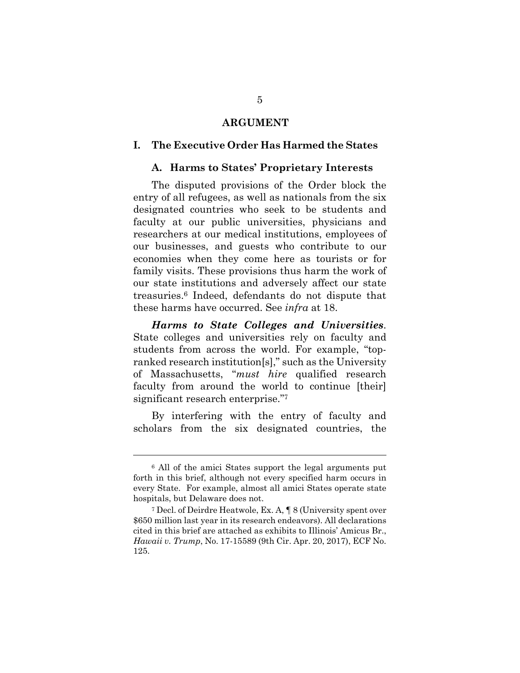#### **ARGUMENT**

#### **I. The Executive Order Has Harmed the States**

#### **A. Harms to States' Proprietary Interests**

The disputed provisions of the Order block the entry of all refugees, as well as nationals from the six designated countries who seek to be students and faculty at our public universities, physicians and researchers at our medical institutions, employees of our businesses, and guests who contribute to our economies when they come here as tourists or for family visits. These provisions thus harm the work of our state institutions and adversely affect our state treasuries.6 Indeed, defendants do not dispute that these harms have occurred. See *infra* at 18.

*Harms to State Colleges and Universities*. State colleges and universities rely on faculty and students from across the world. For example, "topranked research institution[s]," such as the University of Massachusetts, "*must hire* qualified research faculty from around the world to continue [their] significant research enterprise."7

By interfering with the entry of faculty and scholars from the six designated countries, the

<sup>6</sup> All of the amici States support the legal arguments put forth in this brief, although not every specified harm occurs in every State. For example, almost all amici States operate state hospitals, but Delaware does not.

<sup>7</sup> Decl. of Deirdre Heatwole, Ex. A, ¶ 8 (University spent over \$650 million last year in its research endeavors). All declarations cited in this brief are attached as exhibits to Illinois' Amicus Br., *Hawaii v. Trump*, No. 17-15589 (9th Cir. Apr. 20, 2017), ECF No. 125.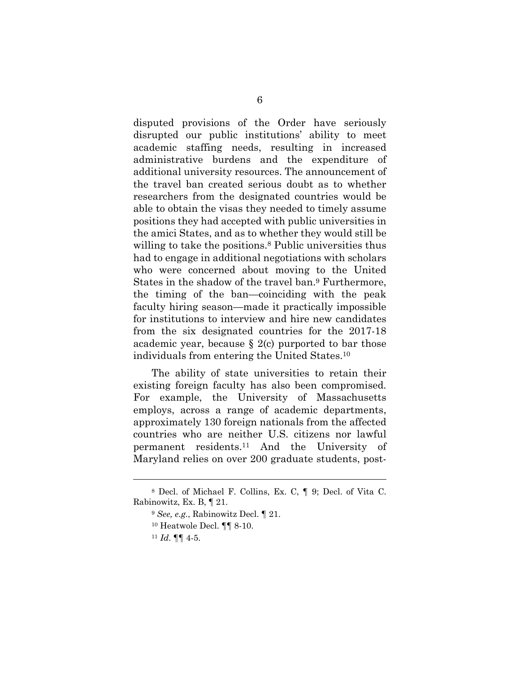disputed provisions of the Order have seriously disrupted our public institutions' ability to meet academic staffing needs, resulting in increased administrative burdens and the expenditure of additional university resources. The announcement of the travel ban created serious doubt as to whether researchers from the designated countries would be able to obtain the visas they needed to timely assume positions they had accepted with public universities in the amici States, and as to whether they would still be willing to take the positions.<sup>8</sup> Public universities thus had to engage in additional negotiations with scholars who were concerned about moving to the United States in the shadow of the travel ban.9 Furthermore, the timing of the ban—coinciding with the peak faculty hiring season—made it practically impossible for institutions to interview and hire new candidates from the six designated countries for the 2017-18 academic year, because  $\S$  2(c) purported to bar those individuals from entering the United States.10

The ability of state universities to retain their existing foreign faculty has also been compromised. For example, the University of Massachusetts employs, across a range of academic departments, approximately 130 foreign nationals from the affected countries who are neither U.S. citizens nor lawful permanent residents.11 And the University of Maryland relies on over 200 graduate students, post-

<sup>8</sup> Decl. of Michael F. Collins, Ex. C, ¶ 9; Decl. of Vita C. Rabinowitz, Ex. B, ¶ 21.

<sup>9</sup> *See, e.g.*, Rabinowitz Decl. ¶ 21.

<sup>10</sup> Heatwole Decl. ¶¶ 8-10.

<sup>11</sup> *Id*. ¶¶ 4-5.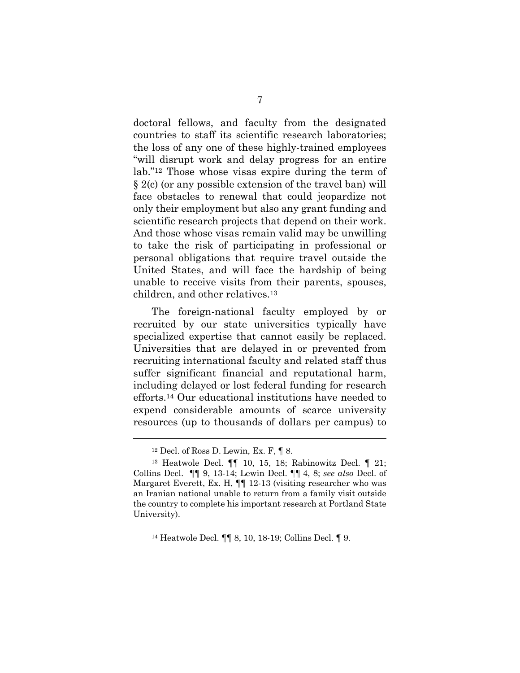doctoral fellows, and faculty from the designated countries to staff its scientific research laboratories; the loss of any one of these highly-trained employees "will disrupt work and delay progress for an entire lab."12 Those whose visas expire during the term of § 2(c) (or any possible extension of the travel ban) will face obstacles to renewal that could jeopardize not only their employment but also any grant funding and scientific research projects that depend on their work. And those whose visas remain valid may be unwilling to take the risk of participating in professional or personal obligations that require travel outside the United States, and will face the hardship of being unable to receive visits from their parents, spouses, children, and other relatives.13

The foreign-national faculty employed by or recruited by our state universities typically have specialized expertise that cannot easily be replaced. Universities that are delayed in or prevented from recruiting international faculty and related staff thus suffer significant financial and reputational harm, including delayed or lost federal funding for research efforts.14 Our educational institutions have needed to expend considerable amounts of scarce university resources (up to thousands of dollars per campus) to

 $12$  Decl. of Ross D. Lewin, Ex. F,  $\P$  8.

<sup>13</sup> Heatwole Decl. ¶¶ 10, 15, 18; Rabinowitz Decl. ¶ 21; Collins Decl. ¶¶ 9, 13-14; Lewin Decl. ¶¶ 4, 8; *see also* Decl. of Margaret Everett, Ex. H,  $\P$  12-13 (visiting researcher who was an Iranian national unable to return from a family visit outside the country to complete his important research at Portland State University).

<sup>14</sup> Heatwole Decl. ¶¶ 8, 10, 18-19; Collins Decl. ¶ 9.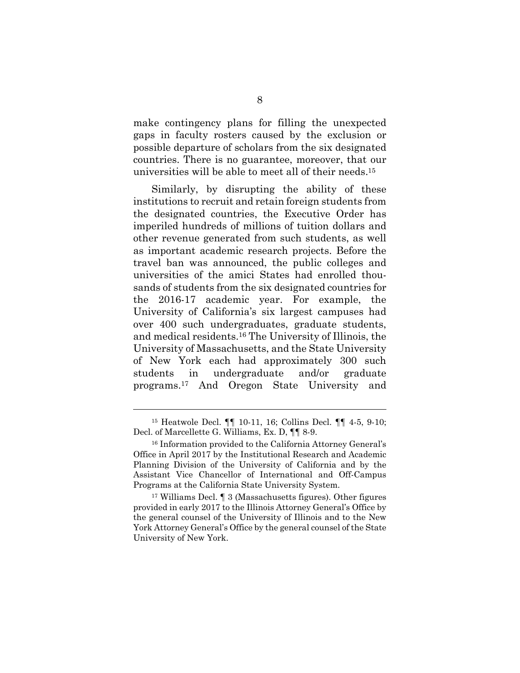make contingency plans for filling the unexpected gaps in faculty rosters caused by the exclusion or possible departure of scholars from the six designated countries. There is no guarantee, moreover, that our universities will be able to meet all of their needs.15

Similarly, by disrupting the ability of these institutions to recruit and retain foreign students from the designated countries, the Executive Order has imperiled hundreds of millions of tuition dollars and other revenue generated from such students, as well as important academic research projects. Before the travel ban was announced, the public colleges and universities of the amici States had enrolled thousands of students from the six designated countries for the 2016-17 academic year. For example, the University of California's six largest campuses had over 400 such undergraduates, graduate students, and medical residents.16 The University of Illinois, the University of Massachusetts, and the State University of New York each had approximately 300 such students in undergraduate and/or graduate programs.17 And Oregon State University and

<sup>15</sup> Heatwole Decl. ¶¶ 10-11, 16; Collins Decl. ¶¶ 4-5, 9-10; Decl. of Marcellette G. Williams, Ex. D, ¶¶ 8-9.

<sup>16</sup> Information provided to the California Attorney General's Office in April 2017 by the Institutional Research and Academic Planning Division of the University of California and by the Assistant Vice Chancellor of International and Off-Campus Programs at the California State University System.

<sup>17</sup> Williams Decl. ¶ 3 (Massachusetts figures). Other figures provided in early 2017 to the Illinois Attorney General's Office by the general counsel of the University of Illinois and to the New York Attorney General's Office by the general counsel of the State University of New York.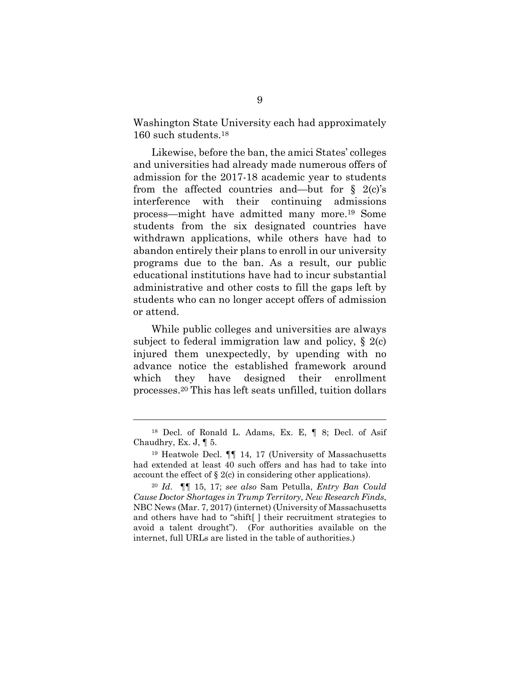Washington State University each had approximately 160 such students.18

Likewise, before the ban, the amici States' colleges and universities had already made numerous offers of admission for the 2017-18 academic year to students from the affected countries and—but for  $\S$  2(c)'s interference with their continuing admissions process—might have admitted many more.19 Some students from the six designated countries have withdrawn applications, while others have had to abandon entirely their plans to enroll in our university programs due to the ban. As a result, our public educational institutions have had to incur substantial administrative and other costs to fill the gaps left by students who can no longer accept offers of admission or attend.

While public colleges and universities are always subject to federal immigration law and policy, § 2(c) injured them unexpectedly, by upending with no advance notice the established framework around which they have designed their enrollment processes.20 This has left seats unfilled, tuition dollars

<sup>18</sup> Decl. of Ronald L. Adams, Ex. E, ¶ 8; Decl. of Asif Chaudhry, Ex. J, ¶ 5.

<sup>19</sup> Heatwole Decl. ¶¶ 14, 17 (University of Massachusetts had extended at least 40 such offers and has had to take into account the effect of  $\S 2(c)$  in considering other applications).

<sup>20</sup> *Id*. ¶¶ 15, 17; *see also* Sam Petulla, *Entry Ban Could Cause Doctor Shortages in Trump Territory, New Research Finds*, NBC News (Mar. 7, 2017) (internet) (University of Massachusetts and others have had to "shift[ ] their recruitment strategies to avoid a talent drought"). (For authorities available on the internet, full URLs are listed in the table of authorities.)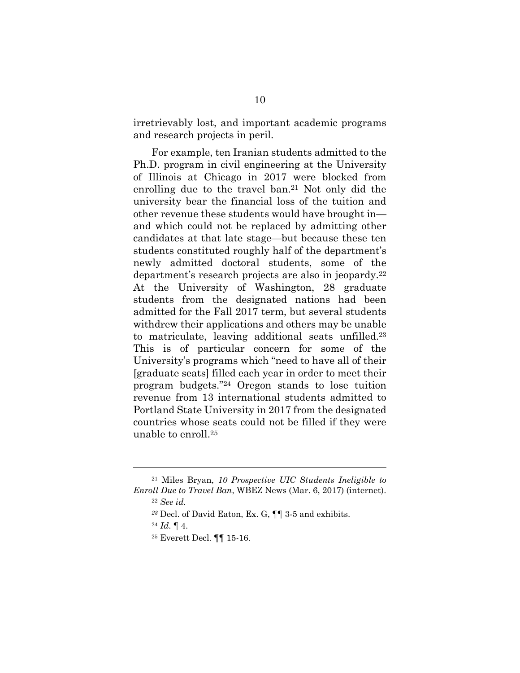irretrievably lost, and important academic programs and research projects in peril.

For example, ten Iranian students admitted to the Ph.D. program in civil engineering at the University of Illinois at Chicago in 2017 were blocked from enrolling due to the travel ban.21 Not only did the university bear the financial loss of the tuition and other revenue these students would have brought in and which could not be replaced by admitting other candidates at that late stage—but because these ten students constituted roughly half of the department's newly admitted doctoral students, some of the department's research projects are also in jeopardy.22 At the University of Washington, 28 graduate students from the designated nations had been admitted for the Fall 2017 term, but several students withdrew their applications and others may be unable to matriculate, leaving additional seats unfilled.23 This is of particular concern for some of the University's programs which "need to have all of their [graduate seats] filled each year in order to meet their program budgets."24 Oregon stands to lose tuition revenue from 13 international students admitted to Portland State University in 2017 from the designated countries whose seats could not be filled if they were unable to enroll.25

<sup>21</sup> Miles Bryan, *10 Prospective UIC Students Ineligible to Enroll Due to Travel Ban*, WBEZ News (Mar. 6, 2017) (internet).

<sup>22</sup> *See id.* 

*<sup>23</sup>* Decl. of David Eaton, Ex. G, ¶¶ 3-5 and exhibits.

<sup>24</sup> *Id*. ¶ 4.

<sup>25</sup> Everett Decl. ¶¶ 15-16.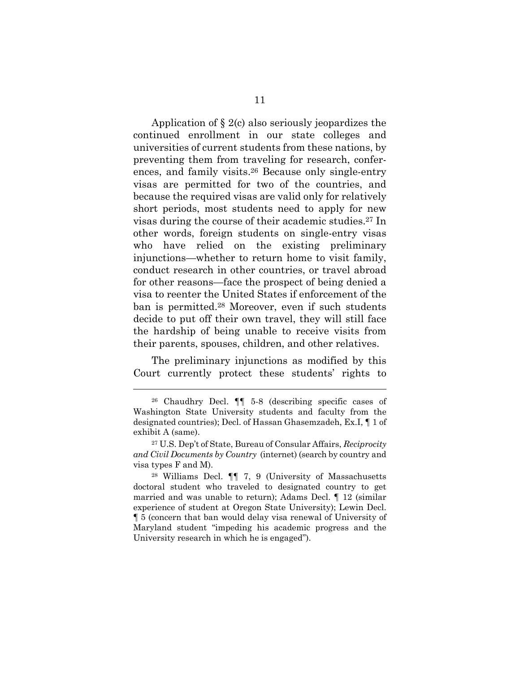Application of § 2(c) also seriously jeopardizes the continued enrollment in our state colleges and universities of current students from these nations, by preventing them from traveling for research, conferences, and family visits.26 Because only single-entry visas are permitted for two of the countries, and because the required visas are valid only for relatively short periods, most students need to apply for new visas during the course of their academic studies.27 In other words, foreign students on single-entry visas who have relied on the existing preliminary injunctions—whether to return home to visit family, conduct research in other countries, or travel abroad for other reasons—face the prospect of being denied a visa to reenter the United States if enforcement of the ban is permitted.28 Moreover, even if such students decide to put off their own travel, they will still face the hardship of being unable to receive visits from their parents, spouses, children, and other relatives.

The preliminary injunctions as modified by this Court currently protect these students' rights to

<sup>26</sup> Chaudhry Decl. ¶¶ 5-8 (describing specific cases of Washington State University students and faculty from the designated countries); Decl. of Hassan Ghasemzadeh, Ex.I, ¶ 1 of exhibit A (same).

<sup>27</sup> U.S. Dep't of State, Bureau of Consular Affairs, *Reciprocity and Civil Documents by Country* (internet) (search by country and visa types F and M).

<sup>28</sup> Williams Decl. ¶¶ 7, 9 (University of Massachusetts doctoral student who traveled to designated country to get married and was unable to return); Adams Decl. ¶ 12 (similar experience of student at Oregon State University); Lewin Decl. ¶ 5 (concern that ban would delay visa renewal of University of Maryland student "impeding his academic progress and the University research in which he is engaged").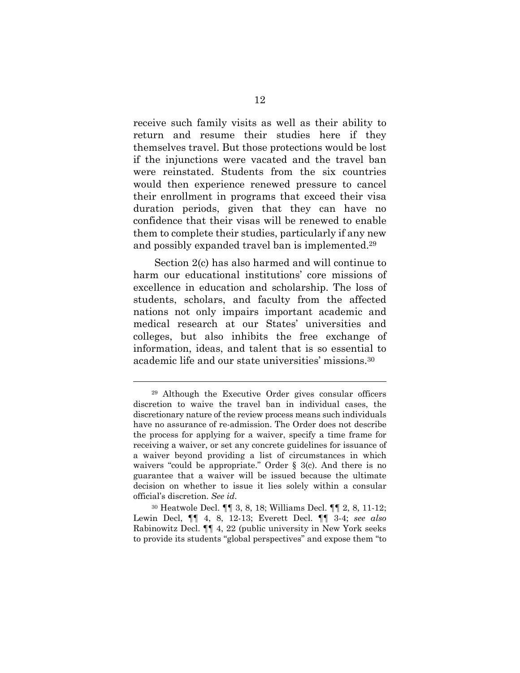receive such family visits as well as their ability to return and resume their studies here if they themselves travel. But those protections would be lost if the injunctions were vacated and the travel ban were reinstated. Students from the six countries would then experience renewed pressure to cancel their enrollment in programs that exceed their visa duration periods, given that they can have no confidence that their visas will be renewed to enable them to complete their studies, particularly if any new and possibly expanded travel ban is implemented.29

 Section 2(c) has also harmed and will continue to harm our educational institutions' core missions of excellence in education and scholarship. The loss of students, scholars, and faculty from the affected nations not only impairs important academic and medical research at our States' universities and colleges, but also inhibits the free exchange of information, ideas, and talent that is so essential to academic life and our state universities' missions.30

<sup>29</sup> Although the Executive Order gives consular officers discretion to waive the travel ban in individual cases, the discretionary nature of the review process means such individuals have no assurance of re-admission. The Order does not describe the process for applying for a waiver, specify a time frame for receiving a waiver, or set any concrete guidelines for issuance of a waiver beyond providing a list of circumstances in which waivers "could be appropriate." Order § 3(c). And there is no guarantee that a waiver will be issued because the ultimate decision on whether to issue it lies solely within a consular official's discretion. *See id*.

<sup>30</sup> Heatwole Decl. ¶¶ 3, 8, 18; Williams Decl. ¶¶ 2, 8, 11-12; Lewin Decl, ¶¶ 4, 8, 12-13; Everett Decl. ¶¶ 3-4; *see also* Rabinowitz Decl. ¶¶ 4, 22 (public university in New York seeks to provide its students "global perspectives" and expose them "to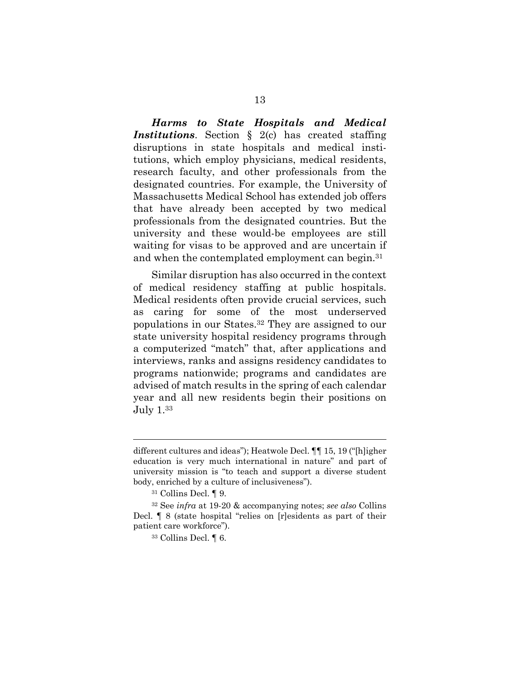*Harms to State Hospitals and Medical*  **Institutions**. Section § 2(c) has created staffing disruptions in state hospitals and medical institutions, which employ physicians, medical residents, research faculty, and other professionals from the designated countries. For example, the University of Massachusetts Medical School has extended job offers that have already been accepted by two medical professionals from the designated countries. But the university and these would-be employees are still waiting for visas to be approved and are uncertain if and when the contemplated employment can begin.31

Similar disruption has also occurred in the context of medical residency staffing at public hospitals. Medical residents often provide crucial services, such as caring for some of the most underserved populations in our States.32 They are assigned to our state university hospital residency programs through a computerized "match" that, after applications and interviews, ranks and assigns residency candidates to programs nationwide; programs and candidates are advised of match results in the spring of each calendar year and all new residents begin their positions on July 1.33

different cultures and ideas"); Heatwole Decl. ¶¶ 15, 19 ("[h]igher education is very much international in nature" and part of university mission is "to teach and support a diverse student body, enriched by a culture of inclusiveness").

<sup>31</sup> Collins Decl. ¶ 9.

<sup>32</sup> See *infra* at 19-20 & accompanying notes; *see also* Collins Decl. ¶ 8 (state hospital "relies on [r]esidents as part of their patient care workforce").

<sup>33</sup> Collins Decl. ¶ 6.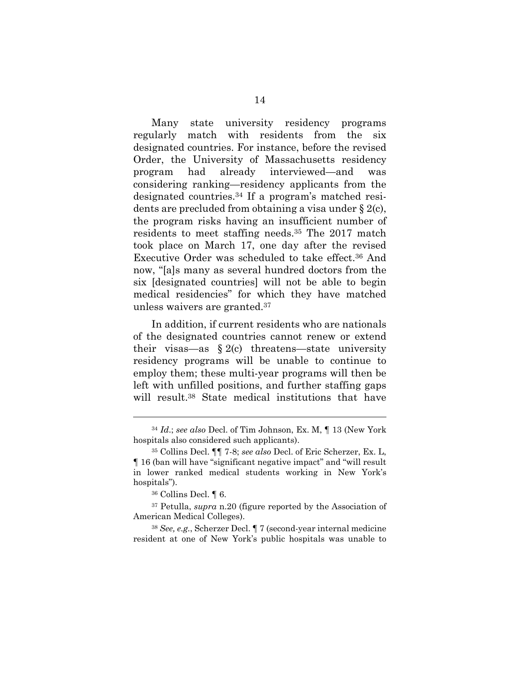Many state university residency programs regularly match with residents from the six designated countries. For instance, before the revised Order, the University of Massachusetts residency program had already interviewed—and was considering ranking—residency applicants from the designated countries.34 If a program's matched residents are precluded from obtaining a visa under § 2(c), the program risks having an insufficient number of residents to meet staffing needs.35 The 2017 match took place on March 17, one day after the revised Executive Order was scheduled to take effect.36 And now, "[a]s many as several hundred doctors from the six [designated countries] will not be able to begin medical residencies" for which they have matched unless waivers are granted.37

In addition, if current residents who are nationals of the designated countries cannot renew or extend their visas—as  $\S 2(c)$  threatens—state university residency programs will be unable to continue to employ them; these multi-year programs will then be left with unfilled positions, and further staffing gaps will result.<sup>38</sup> State medical institutions that have

l

<sup>38</sup> *See, e.g.*, Scherzer Decl. ¶ 7 (second-year internal medicine resident at one of New York's public hospitals was unable to

<sup>34</sup> *Id*.; *see also* Decl. of Tim Johnson, Ex. M, ¶ 13 (New York hospitals also considered such applicants).

<sup>35</sup> Collins Decl. ¶¶ 7-8; *see also* Decl. of Eric Scherzer, Ex. L, ¶ 16 (ban will have "significant negative impact" and "will result in lower ranked medical students working in New York's hospitals").

<sup>36</sup> Collins Decl. ¶ 6.

<sup>37</sup> Petulla, *supra* n.20 (figure reported by the Association of American Medical Colleges).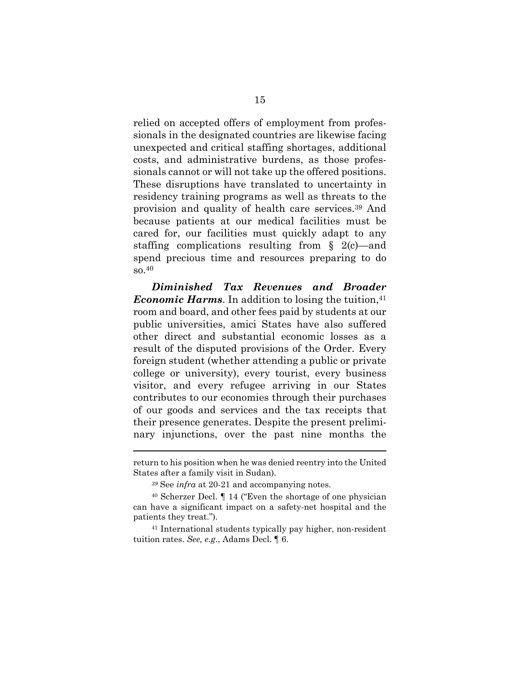relied on accepted offers of employment from professionals in the designated countries are likewise facing unexpected and critical staffing shortages, additional costs, and administrative burdens, as those professionals cannot or will not take up the offered positions. These disruptions have translated to uncertainty in residency training programs as well as threats to the provision and quality of health care services.39 And because patients at our medical facilities must be cared for, our facilities must quickly adapt to any staffing complications resulting from § 2(c)—and spend precious time and resources preparing to do so.40

*Diminished Tax Revenues and Broader Economic Harms*. In addition to losing the tuition, <sup>41</sup> room and board, and other fees paid by students at our public universities, amici States have also suffered other direct and substantial economic losses as a result of the disputed provisions of the Order. Every foreign student (whether attending a public or private college or university), every tourist, every business visitor, and every refugee arriving in our States contributes to our economies through their purchases of our goods and services and the tax receipts that their presence generates. Despite the present preliminary injunctions, over the past nine months the

l

41 International students typically pay higher, non-resident tuition rates. *See, e.g*., Adams Decl. ¶ 6.

return to his position when he was denied reentry into the United States after a family visit in Sudan).

*<sup>39</sup>* See *infra* at 20-21 and accompanying notes.

<sup>40</sup> Scherzer Decl. ¶ 14 ("Even the shortage of one physician can have a significant impact on a safety-net hospital and the patients they treat.").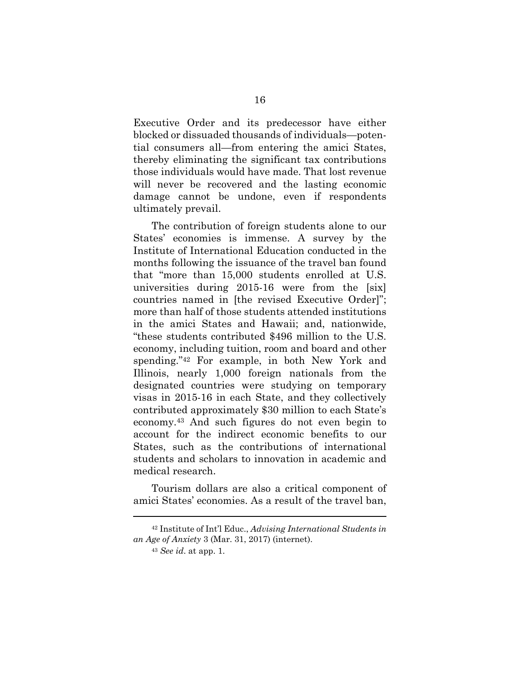Executive Order and its predecessor have either blocked or dissuaded thousands of individuals—potential consumers all—from entering the amici States, thereby eliminating the significant tax contributions those individuals would have made. That lost revenue will never be recovered and the lasting economic damage cannot be undone, even if respondents ultimately prevail.

The contribution of foreign students alone to our States' economies is immense. A survey by the Institute of International Education conducted in the months following the issuance of the travel ban found that "more than 15,000 students enrolled at U.S. universities during 2015-16 were from the [six] countries named in [the revised Executive Order]"; more than half of those students attended institutions in the amici States and Hawaii; and, nationwide, "these students contributed \$496 million to the U.S. economy, including tuition, room and board and other spending."42 For example, in both New York and Illinois, nearly 1,000 foreign nationals from the designated countries were studying on temporary visas in 2015-16 in each State, and they collectively contributed approximately \$30 million to each State's economy.43 And such figures do not even begin to account for the indirect economic benefits to our States, such as the contributions of international students and scholars to innovation in academic and medical research.

Tourism dollars are also a critical component of amici States' economies. As a result of the travel ban,

<sup>42</sup> Institute of Int'l Educ., *Advising International Students in an Age of Anxiety* 3 (Mar. 31, 2017) (internet).

<sup>43</sup> *See id*. at app. 1.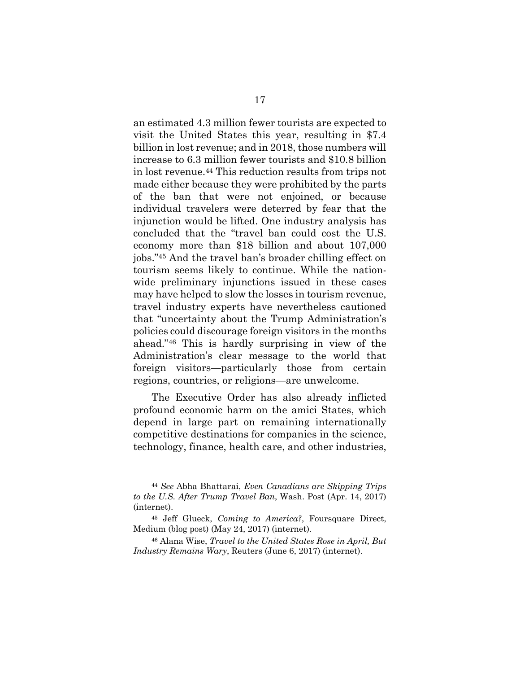an estimated 4.3 million fewer tourists are expected to visit the United States this year, resulting in \$7.4 billion in lost revenue; and in 2018, those numbers will increase to 6.3 million fewer tourists and \$10.8 billion in lost revenue.44 This reduction results from trips not made either because they were prohibited by the parts of the ban that were not enjoined, or because individual travelers were deterred by fear that the injunction would be lifted. One industry analysis has concluded that the "travel ban could cost the U.S. economy more than \$18 billion and about 107,000 jobs."45 And the travel ban's broader chilling effect on tourism seems likely to continue. While the nationwide preliminary injunctions issued in these cases may have helped to slow the losses in tourism revenue, travel industry experts have nevertheless cautioned that "uncertainty about the Trump Administration's policies could discourage foreign visitors in the months ahead."46 This is hardly surprising in view of the Administration's clear message to the world that foreign visitors—particularly those from certain regions, countries, or religions—are unwelcome.

The Executive Order has also already inflicted profound economic harm on the amici States, which depend in large part on remaining internationally competitive destinations for companies in the science, technology, finance, health care, and other industries,

<sup>44</sup> *See* Abha Bhattarai, *Even Canadians are Skipping Trips to the U.S. After Trump Travel Ban*, Wash. Post (Apr. 14, 2017) (internet).

<sup>45</sup> Jeff Glueck, *Coming to America?*, Foursquare Direct, Medium (blog post) (May 24, 2017) (internet).

<sup>46</sup> Alana Wise, *Travel to the United States Rose in April, But Industry Remains Wary*, Reuters (June 6, 2017) (internet).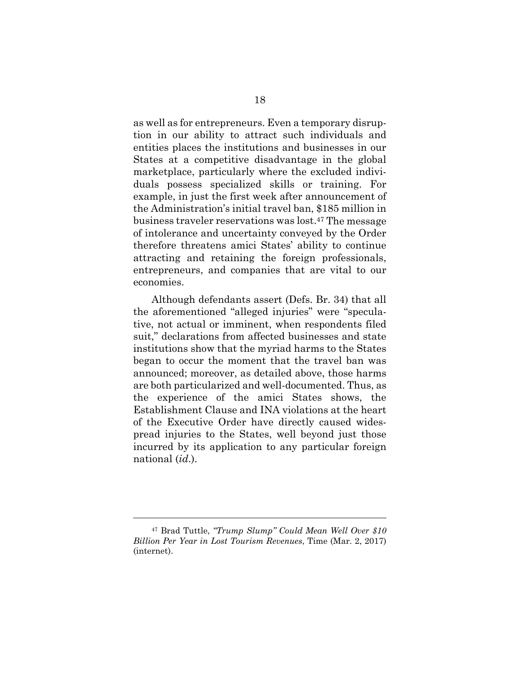as well as for entrepreneurs. Even a temporary disruption in our ability to attract such individuals and entities places the institutions and businesses in our States at a competitive disadvantage in the global marketplace, particularly where the excluded individuals possess specialized skills or training. For example, in just the first week after announcement of the Administration's initial travel ban, \$185 million in business traveler reservations was lost.47 The message of intolerance and uncertainty conveyed by the Order therefore threatens amici States' ability to continue attracting and retaining the foreign professionals, entrepreneurs, and companies that are vital to our economies.

Although defendants assert (Defs. Br. 34) that all the aforementioned "alleged injuries" were "speculative, not actual or imminent, when respondents filed suit," declarations from affected businesses and state institutions show that the myriad harms to the States began to occur the moment that the travel ban was announced; moreover, as detailed above, those harms are both particularized and well-documented. Thus, as the experience of the amici States shows, the Establishment Clause and INA violations at the heart of the Executive Order have directly caused widespread injuries to the States, well beyond just those incurred by its application to any particular foreign national (*id*.).

<sup>47</sup> Brad Tuttle, *"Trump Slump" Could Mean Well Over \$10 Billion Per Year in Lost Tourism Revenues*, Time (Mar. 2, 2017) (internet).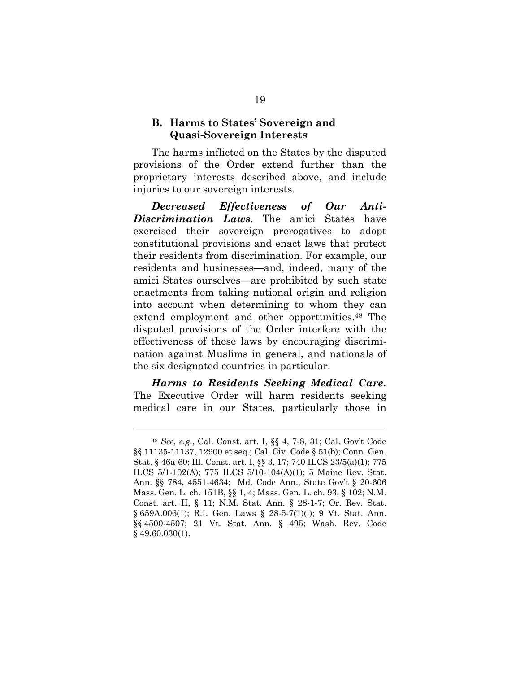#### **B. Harms to States' Sovereign and Quasi-Sovereign Interests**

The harms inflicted on the States by the disputed provisions of the Order extend further than the proprietary interests described above, and include injuries to our sovereign interests.

*Decreased Effectiveness of Our Anti-Discrimination Laws*. The amici States have exercised their sovereign prerogatives to adopt constitutional provisions and enact laws that protect their residents from discrimination. For example, our residents and businesses—and, indeed, many of the amici States ourselves—are prohibited by such state enactments from taking national origin and religion into account when determining to whom they can extend employment and other opportunities.<sup>48</sup> The disputed provisions of the Order interfere with the effectiveness of these laws by encouraging discrimination against Muslims in general, and nationals of the six designated countries in particular.

*Harms to Residents Seeking Medical Care.*  The Executive Order will harm residents seeking medical care in our States, particularly those in

<sup>48</sup> *See, e.g.*, Cal. Const. art. I, §§ 4, 7-8, 31; Cal. Gov't Code §§ 11135-11137, 12900 et seq.; Cal. Civ. Code § 51(b); Conn. Gen. Stat. § 46a-60; Ill. Const. art. I, §§ 3, 17; 740 ILCS 23/5(a)(1); 775 ILCS 5/1-102(A); 775 ILCS 5/10-104(A)(1); 5 Maine Rev. Stat. Ann. §§ 784, 4551-4634; Md. Code Ann., State Gov't § 20-606 Mass. Gen. L. ch. 151B, §§ 1, 4; Mass. Gen. L. ch. 93, § 102; N.M. Const. art. II, § 11; N.M. Stat. Ann. § 28-1-7; Or. Rev. Stat. § 659A.006(1); R.I. Gen. Laws § 28-5-7(1)(i); 9 Vt. Stat. Ann. §§ 4500-4507; 21 Vt. Stat. Ann. § 495; Wash. Rev. Code § 49.60.030(1).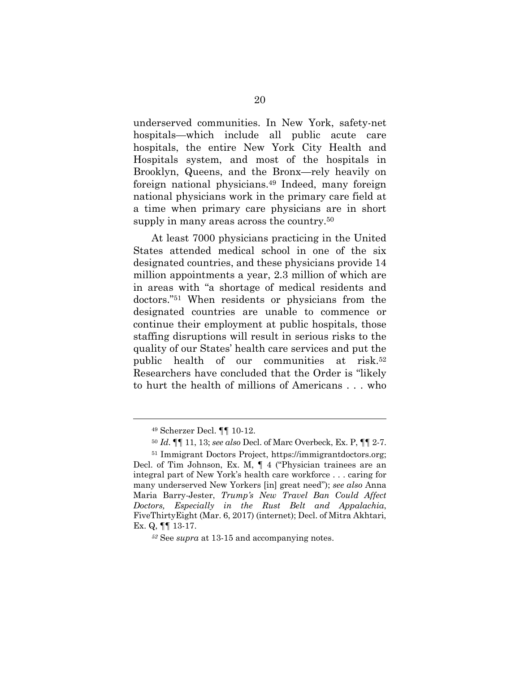underserved communities. In New York, safety-net hospitals—which include all public acute care hospitals, the entire New York City Health and Hospitals system, and most of the hospitals in Brooklyn, Queens, and the Bronx—rely heavily on foreign national physicians.49 Indeed, many foreign national physicians work in the primary care field at a time when primary care physicians are in short supply in many areas across the country.<sup>50</sup>

At least 7000 physicians practicing in the United States attended medical school in one of the six designated countries, and these physicians provide 14 million appointments a year, 2.3 million of which are in areas with "a shortage of medical residents and doctors."51 When residents or physicians from the designated countries are unable to commence or continue their employment at public hospitals, those staffing disruptions will result in serious risks to the quality of our States' health care services and put the public health of our communities at risk.52 Researchers have concluded that the Order is "likely to hurt the health of millions of Americans . . . who

 <sup>49</sup> Scherzer Decl. ¶¶ 10-12.

<sup>50</sup> *Id*. ¶¶ 11, 13; *see also* Decl. of Marc Overbeck, Ex. P, ¶¶ 2-7.

<sup>51</sup> Immigrant Doctors Project, https://immigrantdoctors.org; Decl. of Tim Johnson, Ex. M, ¶ 4 ("Physician trainees are an integral part of New York's health care workforce . . . caring for many underserved New Yorkers [in] great need"); *see also* Anna Maria Barry-Jester, *Trump's New Travel Ban Could Affect Doctors, Especially in the Rust Belt and Appalachia*, FiveThirtyEight (Mar. 6, 2017) (internet); Decl. of Mitra Akhtari, Ex. Q, ¶¶ 13-17.

*<sup>52</sup>* See *supra* at 13-15 and accompanying notes.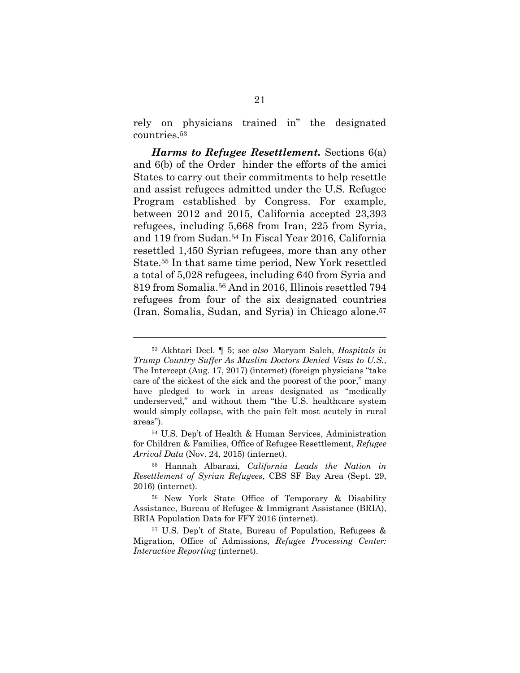rely on physicians trained in" the designated countries.53

*Harms to Refugee Resettlement.* Sections 6(a) and 6(b) of the Order hinder the efforts of the amici States to carry out their commitments to help resettle and assist refugees admitted under the U.S. Refugee Program established by Congress. For example, between 2012 and 2015, California accepted 23,393 refugees, including 5,668 from Iran, 225 from Syria, and 119 from Sudan.54 In Fiscal Year 2016, California resettled 1,450 Syrian refugees, more than any other State.55 In that same time period, New York resettled a total of 5,028 refugees, including 640 from Syria and 819 from Somalia.56 And in 2016, Illinois resettled 794 refugees from four of the six designated countries (Iran, Somalia, Sudan, and Syria) in Chicago alone.57

<sup>53</sup> Akhtari Decl. ¶ 5; *see also* Maryam Saleh, *Hospitals in Trump Country Suffer As Muslim Doctors Denied Visas to U.S.*, The Intercept (Aug. 17, 2017) (internet) (foreign physicians "take care of the sickest of the sick and the poorest of the poor," many have pledged to work in areas designated as "medically underserved," and without them "the U.S. healthcare system would simply collapse, with the pain felt most acutely in rural areas").

<sup>54</sup> U.S. Dep't of Health & Human Services, Administration for Children & Families, Office of Refugee Resettlement, *Refugee Arrival Data* (Nov. 24, 2015) (internet).

<sup>55</sup> Hannah Albarazi, *California Leads the Nation in Resettlement of Syrian Refugees*, CBS SF Bay Area (Sept. 29, 2016) (internet).

<sup>56</sup> New York State Office of Temporary & Disability Assistance, Bureau of Refugee & Immigrant Assistance (BRIA), BRIA Population Data for FFY 2016 (internet).

<sup>57</sup> U.S. Dep't of State, Bureau of Population, Refugees & Migration, Office of Admissions, *Refugee Processing Center: Interactive Reporting* (internet).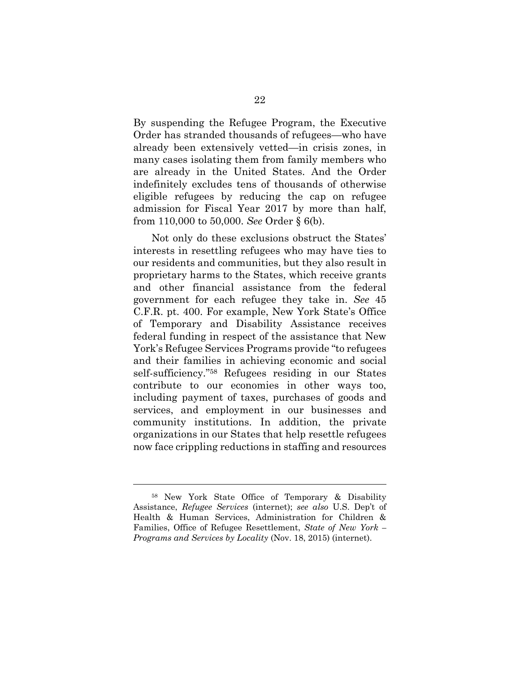By suspending the Refugee Program, the Executive Order has stranded thousands of refugees—who have already been extensively vetted—in crisis zones, in many cases isolating them from family members who are already in the United States. And the Order indefinitely excludes tens of thousands of otherwise eligible refugees by reducing the cap on refugee admission for Fiscal Year 2017 by more than half, from 110,000 to 50,000. *See* Order § 6(b).

Not only do these exclusions obstruct the States' interests in resettling refugees who may have ties to our residents and communities, but they also result in proprietary harms to the States, which receive grants and other financial assistance from the federal government for each refugee they take in. *See* 45 C.F.R. pt. 400. For example, New York State's Office of Temporary and Disability Assistance receives federal funding in respect of the assistance that New York's Refugee Services Programs provide "to refugees and their families in achieving economic and social self-sufficiency."58 Refugees residing in our States contribute to our economies in other ways too, including payment of taxes, purchases of goods and services, and employment in our businesses and community institutions. In addition, the private organizations in our States that help resettle refugees now face crippling reductions in staffing and resources

<sup>58</sup> New York State Office of Temporary & Disability Assistance, *Refugee Services* (internet); *see also* U.S. Dep't of Health & Human Services, Administration for Children & Families, Office of Refugee Resettlement, *State of New York – Programs and Services by Locality* (Nov. 18, 2015) (internet).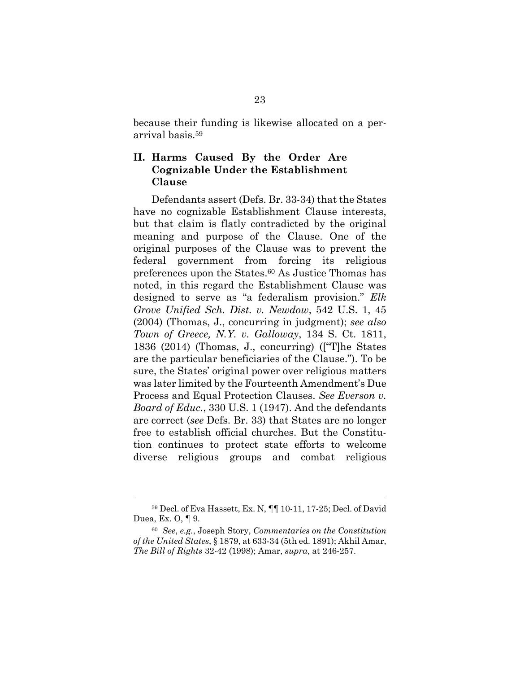because their funding is likewise allocated on a perarrival basis.59

#### **II. Harms Caused By the Order Are Cognizable Under the Establishment Clause**

Defendants assert (Defs. Br. 33-34) that the States have no cognizable Establishment Clause interests, but that claim is flatly contradicted by the original meaning and purpose of the Clause. One of the original purposes of the Clause was to prevent the federal government from forcing its religious preferences upon the States.60 As Justice Thomas has noted, in this regard the Establishment Clause was designed to serve as "a federalism provision." *Elk Grove Unified Sch. Dist. v. Newdow*, 542 U.S. 1, 45 (2004) (Thomas, J., concurring in judgment); *see also Town of Greece, N.Y. v. Galloway*, 134 S. Ct. 1811, 1836 (2014) (Thomas, J., concurring) (["T]he States are the particular beneficiaries of the Clause."). To be sure, the States' original power over religious matters was later limited by the Fourteenth Amendment's Due Process and Equal Protection Clauses. *See Everson v. Board of Educ.*, 330 U.S. 1 (1947). And the defendants are correct (*see* Defs. Br. 33) that States are no longer free to establish official churches. But the Constitution continues to protect state efforts to welcome diverse religious groups and combat religious

<sup>59</sup> Decl. of Eva Hassett, Ex. N, ¶¶ 10-11, 17-25; Decl. of David Duea, Ex. O, ¶ 9.

<sup>60</sup> *See*, *e.g.*, Joseph Story, *Commentaries on the Constitution of the United States*, § 1879, at 633-34 (5th ed. 1891); Akhil Amar, *The Bill of Rights* 32-42 (1998); Amar, *supra*, at 246-257.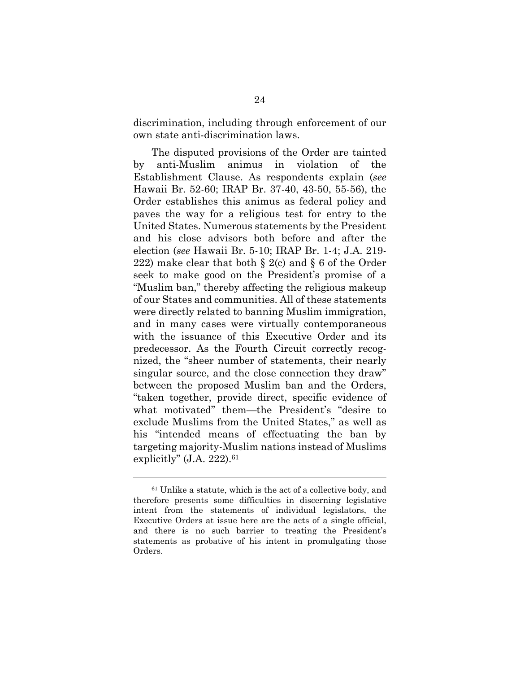discrimination, including through enforcement of our own state anti-discrimination laws.

The disputed provisions of the Order are tainted by anti-Muslim animus in violation of the Establishment Clause. As respondents explain (*see* Hawaii Br. 52-60; IRAP Br. 37-40, 43-50, 55-56), the Order establishes this animus as federal policy and paves the way for a religious test for entry to the United States. Numerous statements by the President and his close advisors both before and after the election (*see* Hawaii Br. 5-10; IRAP Br. 1-4; J.A. 219- 222) make clear that both  $\S 2(c)$  and  $\S 6$  of the Order seek to make good on the President's promise of a "Muslim ban," thereby affecting the religious makeup of our States and communities. All of these statements were directly related to banning Muslim immigration, and in many cases were virtually contemporaneous with the issuance of this Executive Order and its predecessor. As the Fourth Circuit correctly recognized, the "sheer number of statements, their nearly singular source, and the close connection they draw" between the proposed Muslim ban and the Orders, "taken together, provide direct, specific evidence of what motivated" them—the President's "desire to exclude Muslims from the United States," as well as his "intended means of effectuating the ban by targeting majority-Muslim nations instead of Muslims explicitly"  $(J.A. 222).<sup>61</sup>$ 

<sup>61</sup> Unlike a statute, which is the act of a collective body, and therefore presents some difficulties in discerning legislative intent from the statements of individual legislators, the Executive Orders at issue here are the acts of a single official, and there is no such barrier to treating the President's statements as probative of his intent in promulgating those Orders.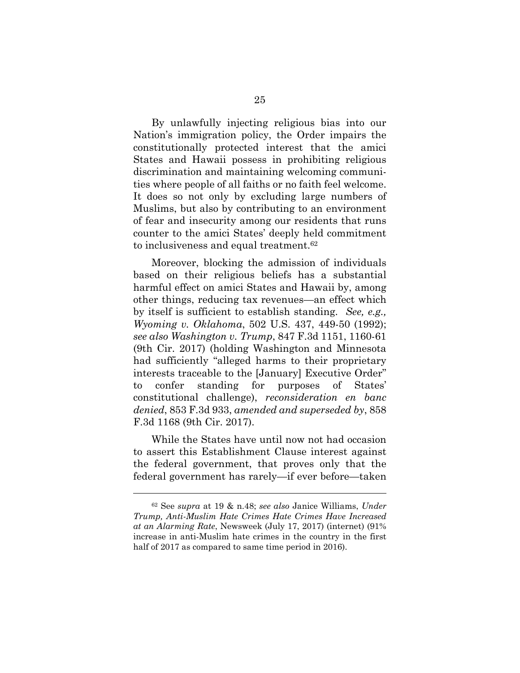By unlawfully injecting religious bias into our Nation's immigration policy, the Order impairs the constitutionally protected interest that the amici States and Hawaii possess in prohibiting religious discrimination and maintaining welcoming communities where people of all faiths or no faith feel welcome. It does so not only by excluding large numbers of Muslims, but also by contributing to an environment of fear and insecurity among our residents that runs counter to the amici States' deeply held commitment to inclusiveness and equal treatment.62

Moreover, blocking the admission of individuals based on their religious beliefs has a substantial harmful effect on amici States and Hawaii by, among other things, reducing tax revenues—an effect which by itself is sufficient to establish standing. *See, e.g., Wyoming v. Oklahoma*, 502 U.S. 437, 449-50 (1992); *see also Washington v. Trump*, 847 F.3d 1151, 1160-61 (9th Cir. 2017) (holding Washington and Minnesota had sufficiently "alleged harms to their proprietary interests traceable to the [January] Executive Order" to confer standing for purposes of States' constitutional challenge), *reconsideration en banc denied*, 853 F.3d 933, *amended and superseded by*, 858 F.3d 1168 (9th Cir. 2017).

While the States have until now not had occasion to assert this Establishment Clause interest against the federal government, that proves only that the federal government has rarely—if ever before—taken

<sup>62</sup> See *supra* at 19 & n.48; *see also* Janice Williams, *Under Trump, Anti-Muslim Hate Crimes Hate Crimes Have Increased at an Alarming Rate*, Newsweek (July 17, 2017) (internet) (91% increase in anti-Muslim hate crimes in the country in the first half of 2017 as compared to same time period in 2016).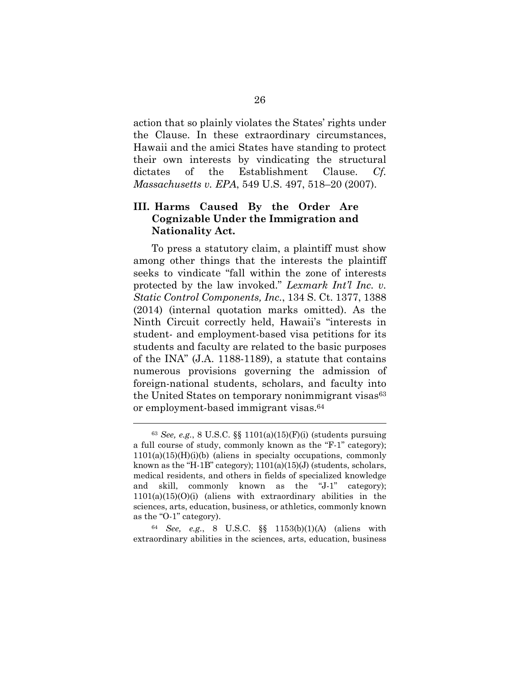action that so plainly violates the States' rights under the Clause. In these extraordinary circumstances, Hawaii and the amici States have standing to protect their own interests by vindicating the structural dictates of the Establishment Clause. *Cf. Massachusetts v. EPA*, 549 U.S. 497, 518–20 (2007).

#### **III. Harms Caused By the Order Are Cognizable Under the Immigration and Nationality Act.**

To press a statutory claim, a plaintiff must show among other things that the interests the plaintiff seeks to vindicate "fall within the zone of interests protected by the law invoked." *Lexmark Int'l Inc. v. Static Control Components, Inc.*, 134 S. Ct. 1377, 1388 (2014) (internal quotation marks omitted). As the Ninth Circuit correctly held, Hawaii's "interests in student- and employment-based visa petitions for its students and faculty are related to the basic purposes of the INA" (J.A. 1188-1189), a statute that contains numerous provisions governing the admission of foreign-national students, scholars, and faculty into the United States on temporary nonimmigrant visas<sup>63</sup> or employment-based immigrant visas.64

<sup>64</sup> *See, e.g.*, 8 U.S.C. §§ 1153(b)(1)(A) (aliens with extraordinary abilities in the sciences, arts, education, business

 <sup>63</sup> *See, e.g.*, 8 U.S.C. §§ 1101(a)(15)(F)(i) (students pursuing a full course of study, commonly known as the "F-1" category);  $1101(a)(15)(H)(i)$  (aliens in specialty occupations, commonly known as the "H-1B" category); 1101(a)(15)(J) (students, scholars, medical residents, and others in fields of specialized knowledge and skill, commonly known as the "J-1" category);  $1101(a)(15)(0)(i)$  (aliens with extraordinary abilities in the sciences, arts, education, business, or athletics, commonly known as the "O-1" category).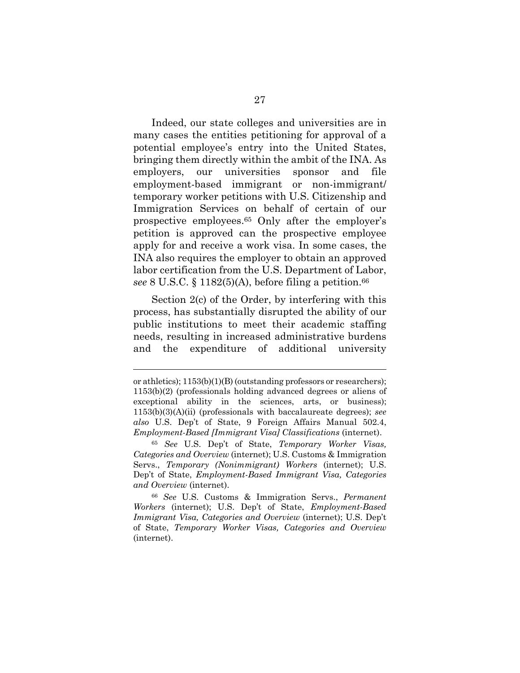Indeed, our state colleges and universities are in many cases the entities petitioning for approval of a potential employee's entry into the United States, bringing them directly within the ambit of the INA. As employers, our universities sponsor and file employment-based immigrant or non-immigrant/ temporary worker petitions with U.S. Citizenship and Immigration Services on behalf of certain of our prospective employees.65 Only after the employer's petition is approved can the prospective employee apply for and receive a work visa. In some cases, the INA also requires the employer to obtain an approved labor certification from the U.S. Department of Labor, see 8 U.S.C.  $\S 1182(5)$ (A), before filing a petition.<sup>66</sup>

Section 2(c) of the Order, by interfering with this process, has substantially disrupted the ability of our public institutions to meet their academic staffing needs, resulting in increased administrative burdens and the expenditure of additional university

or athletics); 1153(b)(1)(B) (outstanding professors or researchers); 1153(b)(2) (professionals holding advanced degrees or aliens of exceptional ability in the sciences, arts, or business); 1153(b)(3)(A)(ii) (professionals with baccalaureate degrees); *see also* U.S. Dep't of State, 9 Foreign Affairs Manual 502.4, *Employment-Based [Immigrant Visa] Classifications* (internet).

<sup>65</sup> *See* U.S. Dep't of State, *Temporary Worker Visas, Categories and Overview* (internet); U.S. Customs & Immigration Servs., *Temporary (Nonimmigrant) Workers* (internet); U.S. Dep't of State, *Employment-Based Immigrant Visa, Categories and Overview* (internet).

<sup>66</sup> *See* U.S. Customs & Immigration Servs., *Permanent Workers* (internet); U.S. Dep't of State, *Employment-Based Immigrant Visa, Categories and Overview* (internet); U.S. Dep't of State, *Temporary Worker Visas, Categories and Overview* (internet).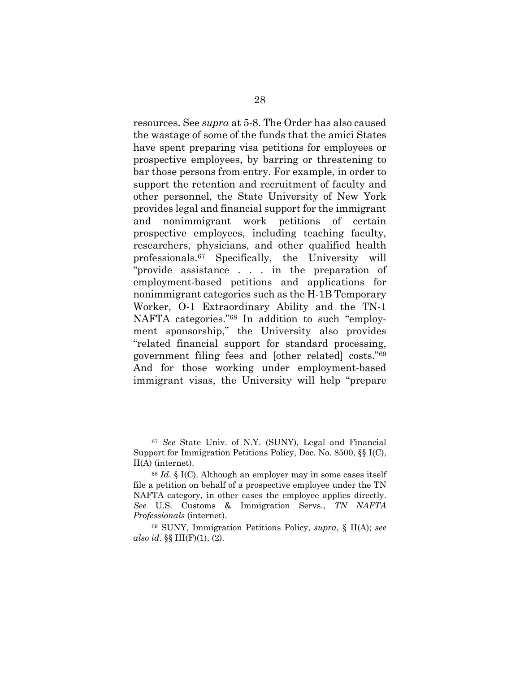resources. See *supra* at 5-8. The Order has also caused the wastage of some of the funds that the amici States have spent preparing visa petitions for employees or prospective employees, by barring or threatening to bar those persons from entry. For example, in order to support the retention and recruitment of faculty and other personnel, the State University of New York provides legal and financial support for the immigrant and nonimmigrant work petitions of certain prospective employees, including teaching faculty, researchers, physicians, and other qualified health professionals.67 Specifically, the University will "provide assistance . . . in the preparation of employment-based petitions and applications for nonimmigrant categories such as the H-1B Temporary Worker, O-1 Extraordinary Ability and the TN-1 NAFTA categories."68 In addition to such "employment sponsorship," the University also provides "related financial support for standard processing, government filing fees and [other related] costs."69 And for those working under employment-based immigrant visas, the University will help "prepare

<sup>67</sup> *See* State Univ. of N.Y. (SUNY), Legal and Financial Support for Immigration Petitions Policy, Doc. No. 8500, §§ I(C), II(A) (internet).

<sup>68</sup> *Id*. § I(C). Although an employer may in some cases itself file a petition on behalf of a prospective employee under the TN NAFTA category, in other cases the employee applies directly. *See* U.S. Customs & Immigration Servs., *TN NAFTA Professionals* (internet).

<sup>69</sup> SUNY, Immigration Petitions Policy, *supra*, § II(A); *see also id*. §§ III(F)(1), (2).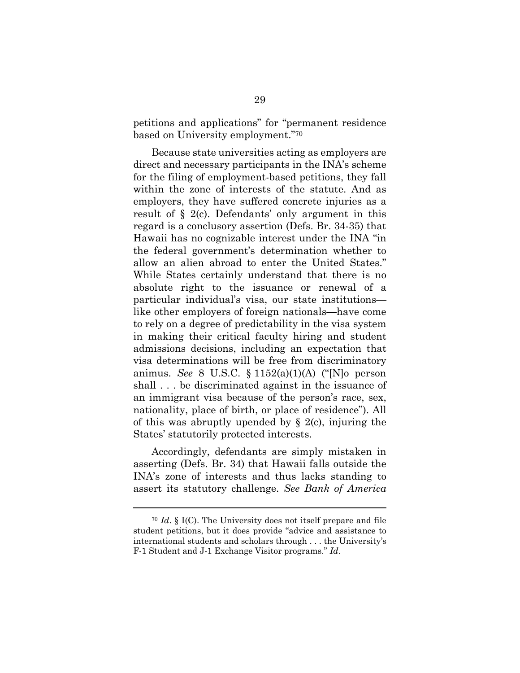petitions and applications" for "permanent residence based on University employment."70

Because state universities acting as employers are direct and necessary participants in the INA's scheme for the filing of employment-based petitions, they fall within the zone of interests of the statute. And as employers, they have suffered concrete injuries as a result of § 2(c). Defendants' only argument in this regard is a conclusory assertion (Defs. Br. 34-35) that Hawaii has no cognizable interest under the INA "in the federal government's determination whether to allow an alien abroad to enter the United States." While States certainly understand that there is no absolute right to the issuance or renewal of a particular individual's visa, our state institutions like other employers of foreign nationals—have come to rely on a degree of predictability in the visa system in making their critical faculty hiring and student admissions decisions, including an expectation that visa determinations will be free from discriminatory animus. *See* 8 U.S.C. § 1152(a)(1)(A) ("[N]o person shall . . . be discriminated against in the issuance of an immigrant visa because of the person's race, sex, nationality, place of birth, or place of residence"). All of this was abruptly upended by  $\S$  2(c), injuring the States' statutorily protected interests.

Accordingly, defendants are simply mistaken in asserting (Defs. Br. 34) that Hawaii falls outside the INA's zone of interests and thus lacks standing to assert its statutory challenge. *See Bank of America* 

<sup>70</sup> *Id*. § I(C). The University does not itself prepare and file student petitions, but it does provide "advice and assistance to international students and scholars through . . . the University's F-1 Student and J-1 Exchange Visitor programs." *Id*.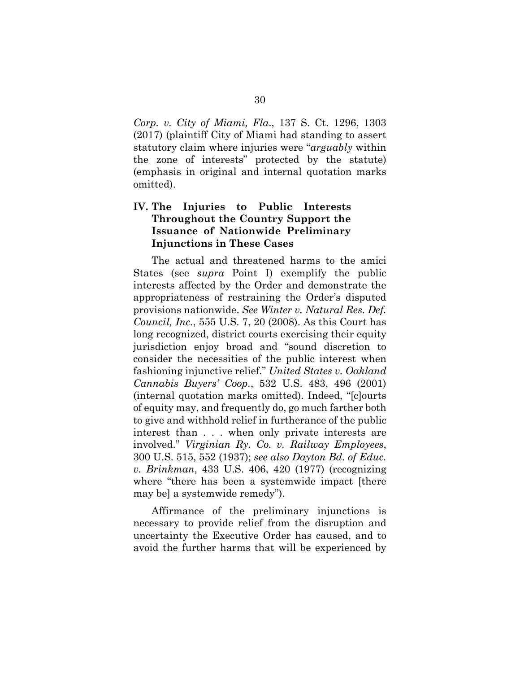*Corp. v. City of Miami, Fla*., 137 S. Ct. 1296, 1303 (2017) (plaintiff City of Miami had standing to assert statutory claim where injuries were "*arguably* within the zone of interests" protected by the statute) (emphasis in original and internal quotation marks omitted).

#### **IV. The Injuries to Public Interests Throughout the Country Support the Issuance of Nationwide Preliminary Injunctions in These Cases**

The actual and threatened harms to the amici States (see *supra* Point I) exemplify the public interests affected by the Order and demonstrate the appropriateness of restraining the Order's disputed provisions nationwide. *See Winter v. Natural Res. Def. Council, Inc.*, 555 U.S. 7, 20 (2008). As this Court has long recognized, district courts exercising their equity jurisdiction enjoy broad and "sound discretion to consider the necessities of the public interest when fashioning injunctive relief." *United States v. Oakland Cannabis Buyers' Coop.*, 532 U.S. 483, 496 (2001) (internal quotation marks omitted). Indeed, "[c]ourts of equity may, and frequently do, go much farther both to give and withhold relief in furtherance of the public interest than . . . when only private interests are involved." *Virginian Ry. Co. v. Railway Employees*, 300 U.S. 515, 552 (1937); *see also Dayton Bd. of Educ. v. Brinkman*, 433 U.S. 406, 420 (1977) (recognizing where "there has been a systemwide impact [there may be] a systemwide remedy").

Affirmance of the preliminary injunctions is necessary to provide relief from the disruption and uncertainty the Executive Order has caused, and to avoid the further harms that will be experienced by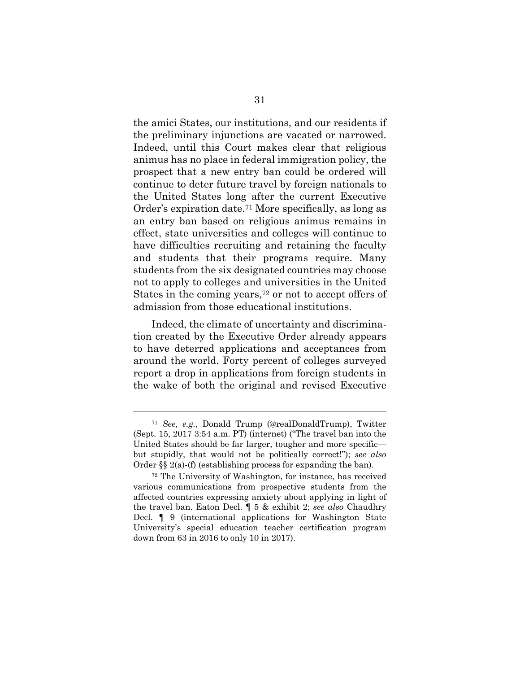the amici States, our institutions, and our residents if the preliminary injunctions are vacated or narrowed. Indeed, until this Court makes clear that religious animus has no place in federal immigration policy, the prospect that a new entry ban could be ordered will continue to deter future travel by foreign nationals to the United States long after the current Executive Order's expiration date.71 More specifically, as long as an entry ban based on religious animus remains in effect, state universities and colleges will continue to have difficulties recruiting and retaining the faculty and students that their programs require. Many students from the six designated countries may choose not to apply to colleges and universities in the United States in the coming years,<sup> $72$ </sup> or not to accept offers of admission from those educational institutions.

Indeed, the climate of uncertainty and discrimination created by the Executive Order already appears to have deterred applications and acceptances from around the world. Forty percent of colleges surveyed report a drop in applications from foreign students in the wake of both the original and revised Executive

<sup>71</sup> *See, e.g.*, Donald Trump (@realDonaldTrump), Twitter (Sept. 15, 2017 3:54 a.m. PT) (internet) ("The travel ban into the United States should be far larger, tougher and more specific but stupidly, that would not be politically correct!"); *see also* Order §§ 2(a)-(f) (establishing process for expanding the ban).

<sup>72</sup> The University of Washington, for instance, has received various communications from prospective students from the affected countries expressing anxiety about applying in light of the travel ban. Eaton Decl. ¶ 5 & exhibit 2; *see also* Chaudhry Decl. ¶ 9 (international applications for Washington State University's special education teacher certification program down from 63 in 2016 to only 10 in 2017).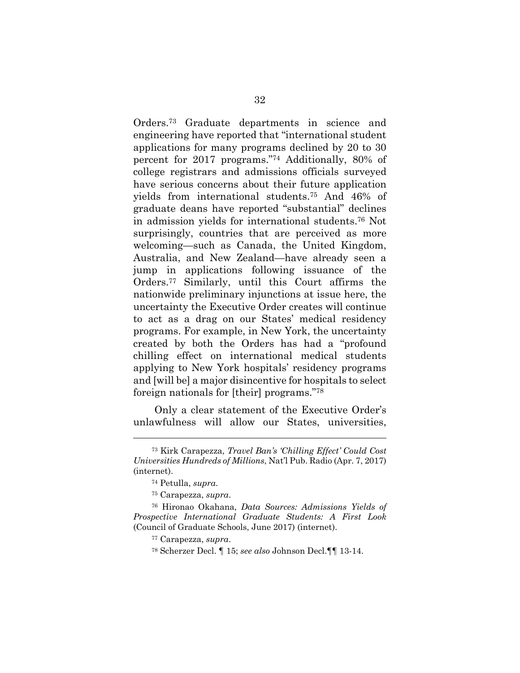Orders.73 Graduate departments in science and engineering have reported that "international student applications for many programs declined by 20 to 30 percent for 2017 programs."74 Additionally, 80% of college registrars and admissions officials surveyed have serious concerns about their future application yields from international students.75 And 46% of graduate deans have reported "substantial" declines in admission yields for international students.76 Not surprisingly, countries that are perceived as more welcoming—such as Canada, the United Kingdom, Australia, and New Zealand—have already seen a jump in applications following issuance of the Orders.77 Similarly, until this Court affirms the nationwide preliminary injunctions at issue here, the uncertainty the Executive Order creates will continue to act as a drag on our States' medical residency programs. For example, in New York, the uncertainty created by both the Orders has had a "profound chilling effect on international medical students applying to New York hospitals' residency programs and [will be] a major disincentive for hospitals to select foreign nationals for [their] programs."78

 Only a clear statement of the Executive Order's unlawfulness will allow our States, universities,

<sup>73</sup> Kirk Carapezza, *Travel Ban's 'Chilling Effect' Could Cost Universities Hundreds of Millions*, Nat'l Pub. Radio (Apr. 7, 2017) (internet).

<sup>74</sup> Petulla, *supra*.

<sup>75</sup> Carapezza, *supra*.

<sup>76</sup> Hironao Okahana, *Data Sources: Admissions Yields of Prospective International Graduate Students: A First Look* (Council of Graduate Schools, June 2017) (internet).

<sup>77</sup> Carapezza, *supra*.

<sup>78</sup> Scherzer Decl. ¶ 15; *see also* Johnson Decl.¶¶ 13-14.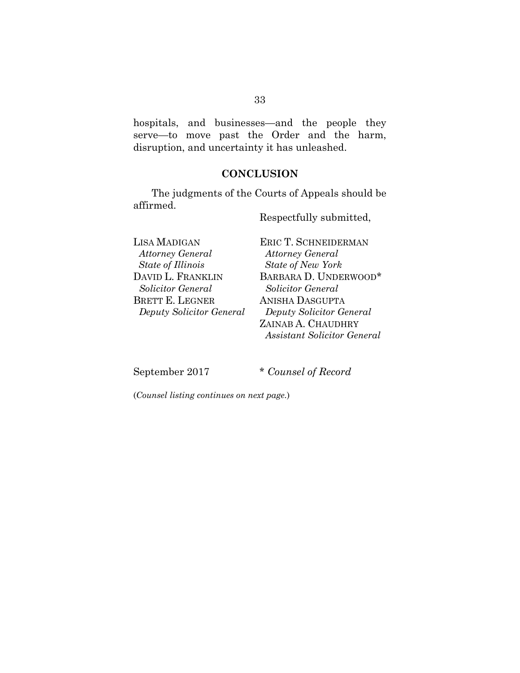hospitals, and businesses—and the people they serve—to move past the Order and the harm, disruption, and uncertainty it has unleashed.

#### **CONCLUSION**

The judgments of the Courts of Appeals should be affirmed.

Respectfully submitted,

LISA MADIGAN *Attorney General State of Illinois*  DAVID L. FRANKLIN *Solicitor General*  BRETT E. LEGNER *Deputy Solicitor General* 

ERIC T. SCHNEIDERMAN  *Attorney General State of New York* BARBARA D. UNDERWOOD\* *Solicitor General* ANISHA DASGUPTA *Deputy Solicitor General*  ZAINAB A. CHAUDHRY *Assistant Solicitor General* 

September 2017 \* *Counsel of Record*

(*Counsel listing continues on next page.*)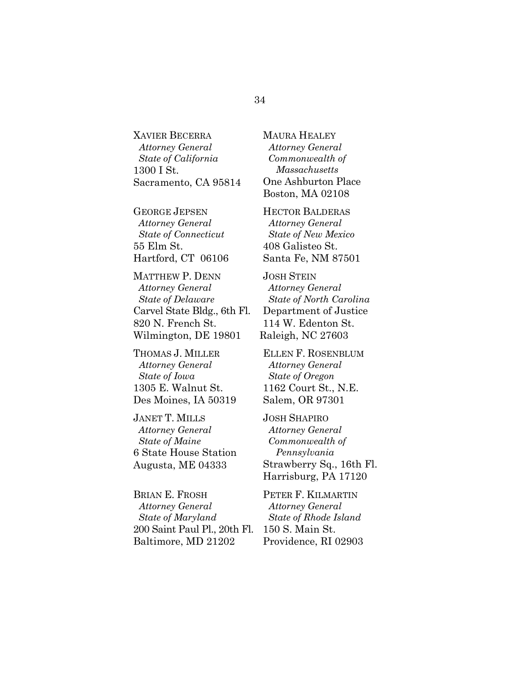XAVIER BECERRA *Attorney General State of California* 1300 I St. Sacramento, CA 95814

GEORGE JEPSEN *Attorney General State of Connecticut* 55 Elm St. Hartford, CT 06106

MATTHEW P. DENN *Attorney General State of Delaware* Carvel State Bldg., 6th Fl. 820 N. French St. Wilmington, DE 19801

THOMAS J. MILLER *Attorney General State of Iowa*  1305 E. Walnut St. Des Moines, IA 50319

JANET T. MILLS *Attorney General State of Maine* 6 State House Station Augusta, ME 04333

BRIAN E. FROSH *Attorney General State of Maryland* 200 Saint Paul Pl., 20th Fl. Baltimore, MD 21202

MAURA HEALEY *Attorney General Commonwealth of Massachusetts* One Ashburton Place Boston, MA 02108

HECTOR BALDERAS *Attorney General State of New Mexico* 408 Galisteo St. Santa Fe, NM 87501

JOSH STEIN  *Attorney General State of North Carolina* Department of Justice 114 W. Edenton St. Raleigh, NC 27603

ELLEN F. ROSENBLUM *Attorney General State of Oregon* 1162 Court St., N.E. Salem, OR 97301

JOSH SHAPIRO *Attorney General Commonwealth of Pennsylvania*  Strawberry Sq., 16th Fl. Harrisburg, PA 17120

PETER F. KILMARTIN *Attorney General State of Rhode Island* 150 S. Main St. Providence, RI 02903